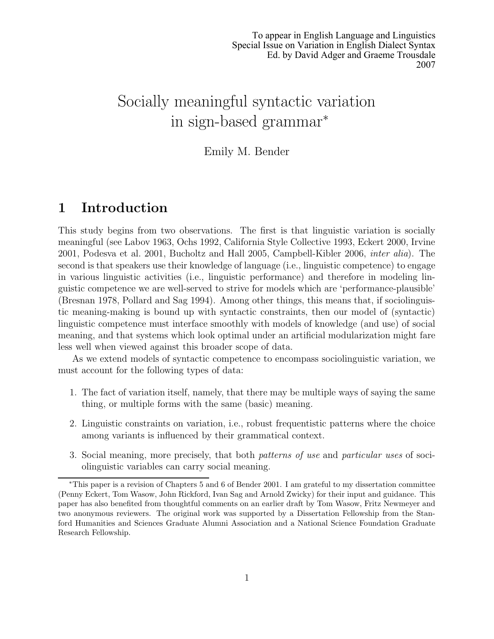# Socially meaningful syntactic variation in sign-based grammar<sup>∗</sup>

#### Emily M. Bender

### 1 Introduction

This study begins from two observations. The first is that linguistic variation is socially meaningful (see Labov 1963, Ochs 1992, California Style Collective 1993, Eckert 2000, Irvine 2001, Podesva et al. 2001, Bucholtz and Hall 2005, Campbell-Kibler 2006, inter alia). The second is that speakers use their knowledge of language (i.e., linguistic competence) to engage in various linguistic activities (i.e., linguistic performance) and therefore in modeling linguistic competence we are well-served to strive for models which are 'performance-plausible' (Bresnan 1978, Pollard and Sag 1994). Among other things, this means that, if sociolinguistic meaning-making is bound up with syntactic constraints, then our model of (syntactic) linguistic competence must interface smoothly with models of knowledge (and use) of social meaning, and that systems which look optimal under an artificial modularization might fare less well when viewed against this broader scope of data.

As we extend models of syntactic competence to encompass sociolinguistic variation, we must account for the following types of data:

- 1. The fact of variation itself, namely, that there may be multiple ways of saying the same thing, or multiple forms with the same (basic) meaning.
- 2. Linguistic constraints on variation, i.e., robust frequentistic patterns where the choice among variants is influenced by their grammatical context.
- 3. Social meaning, more precisely, that both patterns of use and particular uses of sociolinguistic variables can carry social meaning.

<sup>∗</sup>This paper is a revision of Chapters 5 and 6 of Bender 2001. I am grateful to my dissertation committee (Penny Eckert, Tom Wasow, John Rickford, Ivan Sag and Arnold Zwicky) for their input and guidance. This paper has also benefited from thoughtful comments on an earlier draft by Tom Wasow, Fritz Newmeyer and two anonymous reviewers. The original work was supported by a Dissertation Fellowship from the Stanford Humanities and Sciences Graduate Alumni Association and a National Science Foundation Graduate Research Fellowship.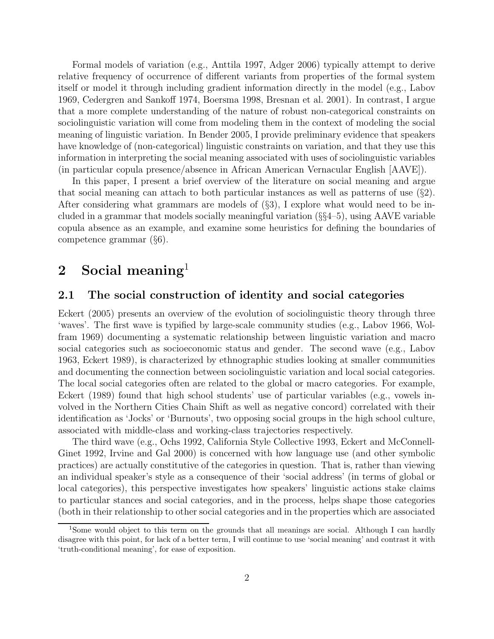Formal models of variation (e.g., Anttila 1997, Adger 2006) typically attempt to derive relative frequency of occurrence of different variants from properties of the formal system itself or model it through including gradient information directly in the model (e.g., Labov 1969, Cedergren and Sankoff 1974, Boersma 1998, Bresnan et al. 2001). In contrast, I argue that a more complete understanding of the nature of robust non-categorical constraints on sociolinguistic variation will come from modeling them in the context of modeling the social meaning of linguistic variation. In Bender 2005, I provide preliminary evidence that speakers have knowledge of (non-categorical) linguistic constraints on variation, and that they use this information in interpreting the social meaning associated with uses of sociolinguistic variables (in particular copula presence/absence in African American Vernacular English [AAVE]).

In this paper, I present a brief overview of the literature on social meaning and argue that social meaning can attach to both particular instances as well as patterns of use (§2). After considering what grammars are models of  $(\S 3)$ , I explore what would need to be included in a grammar that models socially meaningful variation  $(\S_{\S 4-5})$ , using AAVE variable copula absence as an example, and examine some heuristics for defining the boundaries of competence grammar (§6).

### 2 Social meaning<sup>1</sup>

#### 2.1 The social construction of identity and social categories

Eckert (2005) presents an overview of the evolution of sociolinguistic theory through three 'waves'. The first wave is typified by large-scale community studies (e.g., Labov 1966, Wolfram 1969) documenting a systematic relationship between linguistic variation and macro social categories such as socioeconomic status and gender. The second wave (e.g., Labov 1963, Eckert 1989), is characterized by ethnographic studies looking at smaller communities and documenting the connection between sociolinguistic variation and local social categories. The local social categories often are related to the global or macro categories. For example, Eckert (1989) found that high school students' use of particular variables (e.g., vowels involved in the Northern Cities Chain Shift as well as negative concord) correlated with their identification as 'Jocks' or 'Burnouts', two opposing social groups in the high school culture, associated with middle-class and working-class trajectories respectively.

The third wave (e.g., Ochs 1992, California Style Collective 1993, Eckert and McConnell-Ginet 1992, Irvine and Gal 2000) is concerned with how language use (and other symbolic practices) are actually constitutive of the categories in question. That is, rather than viewing an individual speaker's style as a consequence of their 'social address' (in terms of global or local categories), this perspective investigates how speakers' linguistic actions stake claims to particular stances and social categories, and in the process, helps shape those categories (both in their relationship to other social categories and in the properties which are associated

<sup>1</sup>Some would object to this term on the grounds that all meanings are social. Although I can hardly disagree with this point, for lack of a better term, I will continue to use 'social meaning' and contrast it with 'truth-conditional meaning', for ease of exposition.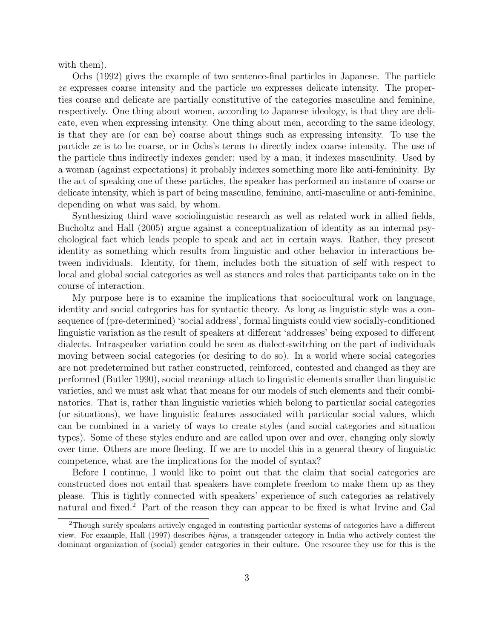with them).

Ochs (1992) gives the example of two sentence-final particles in Japanese. The particle ze expresses coarse intensity and the particle wa expresses delicate intensity. The properties coarse and delicate are partially constitutive of the categories masculine and feminine, respectively. One thing about women, according to Japanese ideology, is that they are delicate, even when expressing intensity. One thing about men, according to the same ideology, is that they are (or can be) coarse about things such as expressing intensity. To use the particle ze is to be coarse, or in Ochs's terms to directly index coarse intensity. The use of the particle thus indirectly indexes gender: used by a man, it indexes masculinity. Used by a woman (against expectations) it probably indexes something more like anti-femininity. By the act of speaking one of these particles, the speaker has performed an instance of coarse or delicate intensity, which is part of being masculine, feminine, anti-masculine or anti-feminine, depending on what was said, by whom.

Synthesizing third wave sociolinguistic research as well as related work in allied fields, Bucholtz and Hall (2005) argue against a conceptualization of identity as an internal psychological fact which leads people to speak and act in certain ways. Rather, they present identity as something which results from linguistic and other behavior in interactions between individuals. Identity, for them, includes both the situation of self with respect to local and global social categories as well as stances and roles that participants take on in the course of interaction.

My purpose here is to examine the implications that sociocultural work on language, identity and social categories has for syntactic theory. As long as linguistic style was a consequence of (pre-determined) 'social address', formal linguists could view socially-conditioned linguistic variation as the result of speakers at different 'addresses' being exposed to different dialects. Intraspeaker variation could be seen as dialect-switching on the part of individuals moving between social categories (or desiring to do so). In a world where social categories are not predetermined but rather constructed, reinforced, contested and changed as they are performed (Butler 1990), social meanings attach to linguistic elements smaller than linguistic varieties, and we must ask what that means for our models of such elements and their combinatorics. That is, rather than linguistic varieties which belong to particular social categories (or situations), we have linguistic features associated with particular social values, which can be combined in a variety of ways to create styles (and social categories and situation types). Some of these styles endure and are called upon over and over, changing only slowly over time. Others are more fleeting. If we are to model this in a general theory of linguistic competence, what are the implications for the model of syntax?

Before I continue, I would like to point out that the claim that social categories are constructed does not entail that speakers have complete freedom to make them up as they please. This is tightly connected with speakers' experience of such categories as relatively natural and fixed.<sup>2</sup> Part of the reason they can appear to be fixed is what Irvine and Gal

<sup>2</sup>Though surely speakers actively engaged in contesting particular systems of categories have a different view. For example, Hall (1997) describes hijras, a transgender category in India who actively contest the dominant organization of (social) gender categories in their culture. One resource they use for this is the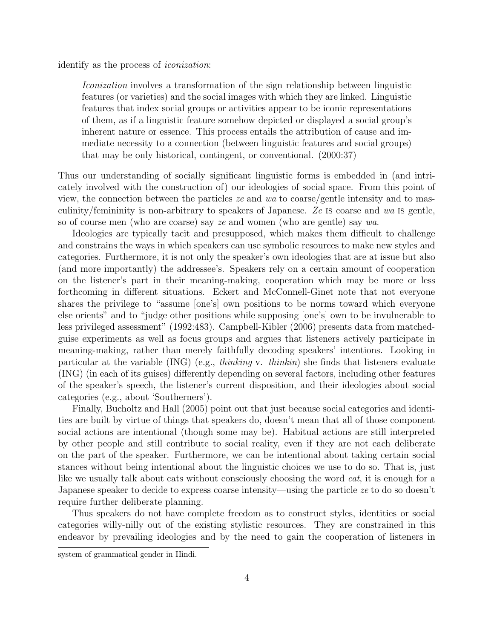identify as the process of iconization:

Iconization involves a transformation of the sign relationship between linguistic features (or varieties) and the social images with which they are linked. Linguistic features that index social groups or activities appear to be iconic representations of them, as if a linguistic feature somehow depicted or displayed a social group's inherent nature or essence. This process entails the attribution of cause and immediate necessity to a connection (between linguistic features and social groups) that may be only historical, contingent, or conventional. (2000:37)

Thus our understanding of socially significant linguistic forms is embedded in (and intricately involved with the construction of) our ideologies of social space. From this point of view, the connection between the particles ze and wa to coarse/gentle intensity and to masculinity/femininity is non-arbitrary to speakers of Japanese. Ze is coarse and wa is gentle, so of course men (who are coarse) say ze and women (who are gentle) say wa.

Ideologies are typically tacit and presupposed, which makes them difficult to challenge and constrains the ways in which speakers can use symbolic resources to make new styles and categories. Furthermore, it is not only the speaker's own ideologies that are at issue but also (and more importantly) the addressee's. Speakers rely on a certain amount of cooperation on the listener's part in their meaning-making, cooperation which may be more or less forthcoming in different situations. Eckert and McConnell-Ginet note that not everyone shares the privilege to "assume [one's] own positions to be norms toward which everyone else orients" and to "judge other positions while supposing [one's] own to be invulnerable to less privileged assessment" (1992:483). Campbell-Kibler (2006) presents data from matchedguise experiments as well as focus groups and argues that listeners actively participate in meaning-making, rather than merely faithfully decoding speakers' intentions. Looking in particular at the variable  $(ING)$  (e.g., *thinking v. thinkin*) she finds that listeners evaluate (ING) (in each of its guises) differently depending on several factors, including other features of the speaker's speech, the listener's current disposition, and their ideologies about social categories (e.g., about 'Southerners').

Finally, Bucholtz and Hall (2005) point out that just because social categories and identities are built by virtue of things that speakers do, doesn't mean that all of those component social actions are intentional (though some may be). Habitual actions are still interpreted by other people and still contribute to social reality, even if they are not each deliberate on the part of the speaker. Furthermore, we can be intentional about taking certain social stances without being intentional about the linguistic choices we use to do so. That is, just like we usually talk about cats without consciously choosing the word *cat*, it is enough for a Japanese speaker to decide to express coarse intensity—using the particle ze to do so doesn't require further deliberate planning.

Thus speakers do not have complete freedom as to construct styles, identities or social categories willy-nilly out of the existing stylistic resources. They are constrained in this endeavor by prevailing ideologies and by the need to gain the cooperation of listeners in

system of grammatical gender in Hindi.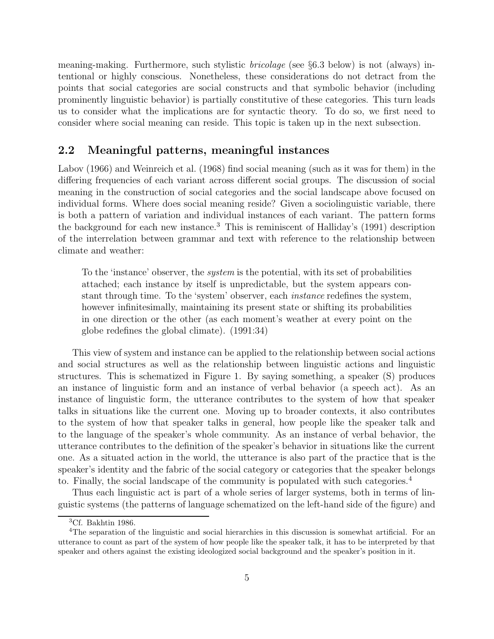meaning-making. Furthermore, such stylistic bricolage (see §6.3 below) is not (always) intentional or highly conscious. Nonetheless, these considerations do not detract from the points that social categories are social constructs and that symbolic behavior (including prominently linguistic behavior) is partially constitutive of these categories. This turn leads us to consider what the implications are for syntactic theory. To do so, we first need to consider where social meaning can reside. This topic is taken up in the next subsection.

#### 2.2 Meaningful patterns, meaningful instances

Labov (1966) and Weinreich et al. (1968) find social meaning (such as it was for them) in the differing frequencies of each variant across different social groups. The discussion of social meaning in the construction of social categories and the social landscape above focused on individual forms. Where does social meaning reside? Given a sociolinguistic variable, there is both a pattern of variation and individual instances of each variant. The pattern forms the background for each new instance.<sup>3</sup> This is reminiscent of Halliday's  $(1991)$  description of the interrelation between grammar and text with reference to the relationship between climate and weather:

To the 'instance' observer, the *system* is the potential, with its set of probabilities attached; each instance by itself is unpredictable, but the system appears constant through time. To the 'system' observer, each instance redefines the system, however infinitesimally, maintaining its present state or shifting its probabilities in one direction or the other (as each moment's weather at every point on the globe redefines the global climate). (1991:34)

This view of system and instance can be applied to the relationship between social actions and social structures as well as the relationship between linguistic actions and linguistic structures. This is schematized in Figure 1. By saying something, a speaker (S) produces an instance of linguistic form and an instance of verbal behavior (a speech act). As an instance of linguistic form, the utterance contributes to the system of how that speaker talks in situations like the current one. Moving up to broader contexts, it also contributes to the system of how that speaker talks in general, how people like the speaker talk and to the language of the speaker's whole community. As an instance of verbal behavior, the utterance contributes to the definition of the speaker's behavior in situations like the current one. As a situated action in the world, the utterance is also part of the practice that is the speaker's identity and the fabric of the social category or categories that the speaker belongs to. Finally, the social landscape of the community is populated with such categories.<sup>4</sup>

Thus each linguistic act is part of a whole series of larger systems, both in terms of linguistic systems (the patterns of language schematized on the left-hand side of the figure) and

<sup>3</sup>Cf. Bakhtin 1986.

<sup>4</sup>The separation of the linguistic and social hierarchies in this discussion is somewhat artificial. For an utterance to count as part of the system of how people like the speaker talk, it has to be interpreted by that speaker and others against the existing ideologized social background and the speaker's position in it.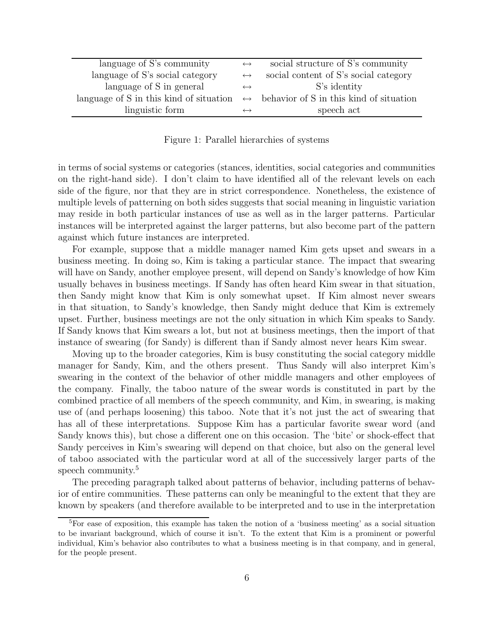| language of S's community                                                                         | $\leftrightarrow$ | social structure of S's community     |
|---------------------------------------------------------------------------------------------------|-------------------|---------------------------------------|
| language of S's social category                                                                   | $\leftrightarrow$ | social content of S's social category |
| language of S in general                                                                          | $\leftrightarrow$ | S's identity                          |
| language of S in this kind of situation $\leftrightarrow$ behavior of S in this kind of situation |                   |                                       |
| linguistic form                                                                                   |                   | speech act                            |

Figure 1: Parallel hierarchies of systems

in terms of social systems or categories (stances, identities, social categories and communities on the right-hand side). I don't claim to have identified all of the relevant levels on each side of the figure, nor that they are in strict correspondence. Nonetheless, the existence of multiple levels of patterning on both sides suggests that social meaning in linguistic variation may reside in both particular instances of use as well as in the larger patterns. Particular instances will be interpreted against the larger patterns, but also become part of the pattern against which future instances are interpreted.

For example, suppose that a middle manager named Kim gets upset and swears in a business meeting. In doing so, Kim is taking a particular stance. The impact that swearing will have on Sandy, another employee present, will depend on Sandy's knowledge of how Kim usually behaves in business meetings. If Sandy has often heard Kim swear in that situation, then Sandy might know that Kim is only somewhat upset. If Kim almost never swears in that situation, to Sandy's knowledge, then Sandy might deduce that Kim is extremely upset. Further, business meetings are not the only situation in which Kim speaks to Sandy. If Sandy knows that Kim swears a lot, but not at business meetings, then the import of that instance of swearing (for Sandy) is different than if Sandy almost never hears Kim swear.

Moving up to the broader categories, Kim is busy constituting the social category middle manager for Sandy, Kim, and the others present. Thus Sandy will also interpret Kim's swearing in the context of the behavior of other middle managers and other employees of the company. Finally, the taboo nature of the swear words is constituted in part by the combined practice of all members of the speech community, and Kim, in swearing, is making use of (and perhaps loosening) this taboo. Note that it's not just the act of swearing that has all of these interpretations. Suppose Kim has a particular favorite swear word (and Sandy knows this), but chose a different one on this occasion. The 'bite' or shock-effect that Sandy perceives in Kim's swearing will depend on that choice, but also on the general level of taboo associated with the particular word at all of the successively larger parts of the speech community.<sup>5</sup>

The preceding paragraph talked about patterns of behavior, including patterns of behavior of entire communities. These patterns can only be meaningful to the extent that they are known by speakers (and therefore available to be interpreted and to use in the interpretation

<sup>5</sup>For ease of exposition, this example has taken the notion of a 'business meeting' as a social situation to be invariant background, which of course it isn't. To the extent that Kim is a prominent or powerful individual, Kim's behavior also contributes to what a business meeting is in that company, and in general, for the people present.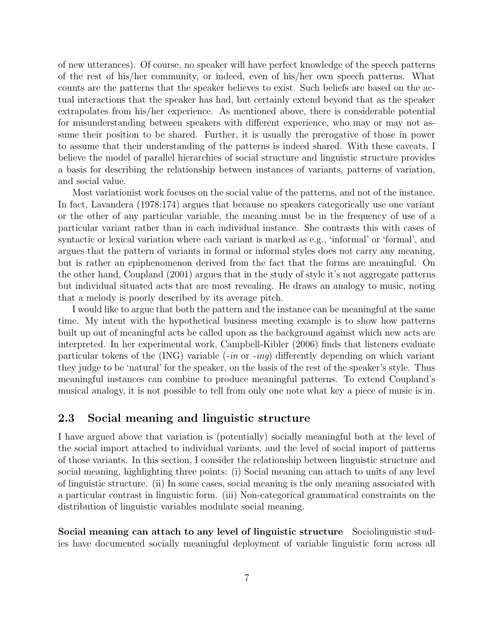of new utterances). Of course, no speaker will have perfect knowledge of the speech patterns of the rest of his/her community, or indeed, even of his/her own speech patterns. What counts are the patterns that the speaker believes to exist. Such beliefs are based on the actual interactions that the speaker has had, but certainly extend beyond that as the speaker extrapolates from his/her experience. As mentioned above, there is considerable potential for misunderstanding between speakers with different experience, who may or may not assume their position to be shared. Further, it is usually the prerogative of those in power to assume that their understanding of the patterns is indeed shared. With these caveats, I believe the model of parallel hierarchies of social structure and linguistic structure provides a basis for describing the relationship between instances of variants, patterns of variation, and social value.

Most variationist work focuses on the social value of the patterns, and not of the instance. In fact, Lavandera (1978:174) argues that because no speakers categorically use one variant or the other of any particular variable, the meaning must be in the frequency of use of a particular variant rather than in each individual instance. She contrasts this with cases of syntactic or lexical variation where each variant is marked as e.g., 'informal' or 'formal', and argues that the pattern of variants in formal or informal styles does not carry any meaning, but is rather an epiphenomenon derived from the fact that the forms are meaningful. On the other hand, Coupland (2001) argues that in the study of style it's not aggregate patterns but individual situated acts that are most revealing. He draws an analogy to music, noting that a melody is poorly described by its average pitch.

I would like to argue that both the pattern and the instance can be meaningful at the same time. My intent with the hypothetical business meeting example is to show how patterns built up out of meaningful acts be called upon as the background against which new acts are interpreted. In her experimental work, Campbell-Kibler (2006) finds that listeners evaluate particular tokens of the  $(ING)$  variable  $(-in \text{ or } -inq)$  differently depending on which variant they judge to be 'natural' for the speaker, on the basis of the rest of the speaker's style. Thus meaningful instances can combine to produce meaningful patterns. To extend Coupland's musical analogy, it is not possible to tell from only one note what key a piece of music is in.

#### 2.3 Social meaning and linguistic structure

I have argued above that variation is (potentially) socially meaningful both at the level of the social import attached to individual variants, and the level of social import of patterns of those variants. In this section, I consider the relationship between linguistic structure and social meaning, highlighting three points: (i) Social meaning can attach to units of any level of linguistic structure. (ii) In some cases, social meaning is the only meaning associated with a particular contrast in linguistic form. (iii) Non-categorical grammatical constraints on the distribution of linguistic variables modulate social meaning.

Social meaning can attach to any level of linguistic structure Sociolinguistic studies have documented socially meaningful deployment of variable linguistic form across all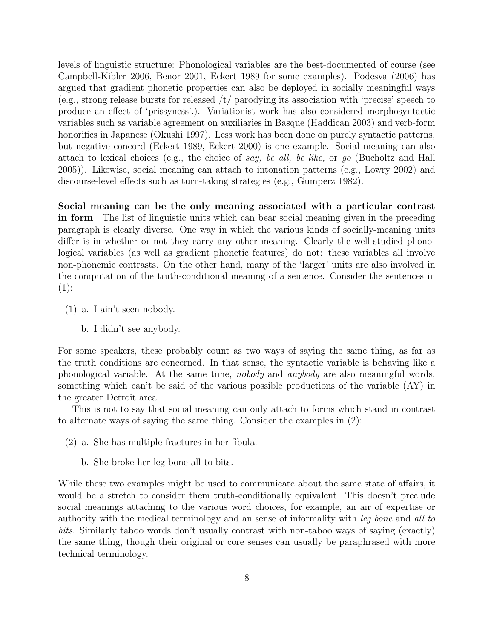levels of linguistic structure: Phonological variables are the best-documented of course (see Campbell-Kibler 2006, Benor 2001, Eckert 1989 for some examples). Podesva (2006) has argued that gradient phonetic properties can also be deployed in socially meaningful ways (e.g., strong release bursts for released /t/ parodying its association with 'precise' speech to produce an effect of 'prissyness'.). Variationist work has also considered morphosyntactic variables such as variable agreement on auxiliaries in Basque (Haddican 2003) and verb-form honorifics in Japanese (Okushi 1997). Less work has been done on purely syntactic patterns, but negative concord (Eckert 1989, Eckert 2000) is one example. Social meaning can also attach to lexical choices (e.g., the choice of say, be all, be like, or go (Bucholtz and Hall 2005)). Likewise, social meaning can attach to intonation patterns (e.g., Lowry 2002) and discourse-level effects such as turn-taking strategies (e.g., Gumperz 1982).

Social meaning can be the only meaning associated with a particular contrast in form The list of linguistic units which can bear social meaning given in the preceding paragraph is clearly diverse. One way in which the various kinds of socially-meaning units differ is in whether or not they carry any other meaning. Clearly the well-studied phonological variables (as well as gradient phonetic features) do not: these variables all involve non-phonemic contrasts. On the other hand, many of the 'larger' units are also involved in the computation of the truth-conditional meaning of a sentence. Consider the sentences in  $(1):$ 

- (1) a. I ain't seen nobody.
	- b. I didn't see anybody.

For some speakers, these probably count as two ways of saying the same thing, as far as the truth conditions are concerned. In that sense, the syntactic variable is behaving like a phonological variable. At the same time, nobody and anybody are also meaningful words, something which can't be said of the various possible productions of the variable (AY) in the greater Detroit area.

This is not to say that social meaning can only attach to forms which stand in contrast to alternate ways of saying the same thing. Consider the examples in (2):

- (2) a. She has multiple fractures in her fibula.
	- b. She broke her leg bone all to bits.

While these two examples might be used to communicate about the same state of affairs, it would be a stretch to consider them truth-conditionally equivalent. This doesn't preclude social meanings attaching to the various word choices, for example, an air of expertise or authority with the medical terminology and an sense of informality with leg bone and all to bits. Similarly taboo words don't usually contrast with non-taboo ways of saying (exactly) the same thing, though their original or core senses can usually be paraphrased with more technical terminology.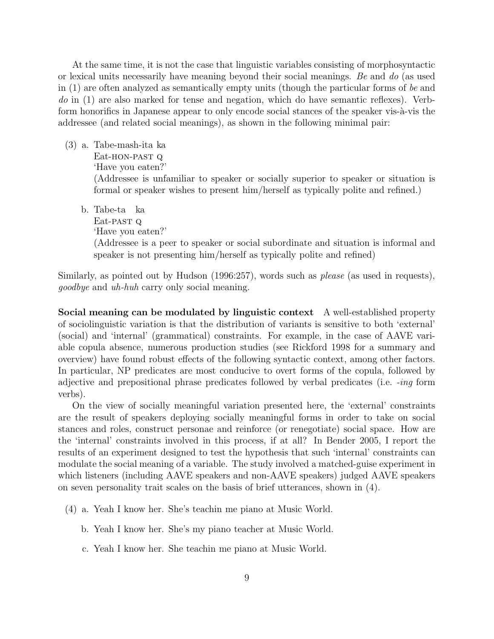At the same time, it is not the case that linguistic variables consisting of morphosyntactic or lexical units necessarily have meaning beyond their social meanings. Be and do (as used in (1) are often analyzed as semantically empty units (though the particular forms of be and do in (1) are also marked for tense and negation, which do have semantic reflexes). Verbform honorifics in Japanese appear to only encode social stances of the speaker vis- $\grave{a}$ -vis the addressee (and related social meanings), as shown in the following minimal pair:

- (3) a. Tabe-mash-ita ka Eat-hon-past Q 'Have you eaten?' (Addressee is unfamiliar to speaker or socially superior to speaker or situation is formal or speaker wishes to present him/herself as typically polite and refined.)
	- b. Tabe-ta ka Eat-past q 'Have you eaten?'

(Addressee is a peer to speaker or social subordinate and situation is informal and speaker is not presenting him/herself as typically polite and refined)

Similarly, as pointed out by Hudson (1996:257), words such as please (as used in requests), goodbye and uh-huh carry only social meaning.

Social meaning can be modulated by linguistic context A well-established property of sociolinguistic variation is that the distribution of variants is sensitive to both 'external' (social) and 'internal' (grammatical) constraints. For example, in the case of AAVE variable copula absence, numerous production studies (see Rickford 1998 for a summary and overview) have found robust effects of the following syntactic context, among other factors. In particular, NP predicates are most conducive to overt forms of the copula, followed by adjective and prepositional phrase predicates followed by verbal predicates (i.e. -ing form verbs).

On the view of socially meaningful variation presented here, the 'external' constraints are the result of speakers deploying socially meaningful forms in order to take on social stances and roles, construct personae and reinforce (or renegotiate) social space. How are the 'internal' constraints involved in this process, if at all? In Bender 2005, I report the results of an experiment designed to test the hypothesis that such 'internal' constraints can modulate the social meaning of a variable. The study involved a matched-guise experiment in which listeners (including AAVE speakers and non-AAVE speakers) judged AAVE speakers on seven personality trait scales on the basis of brief utterances, shown in (4).

- (4) a. Yeah I know her. She's teachin me piano at Music World.
	- b. Yeah I know her. She's my piano teacher at Music World.
	- c. Yeah I know her. She teachin me piano at Music World.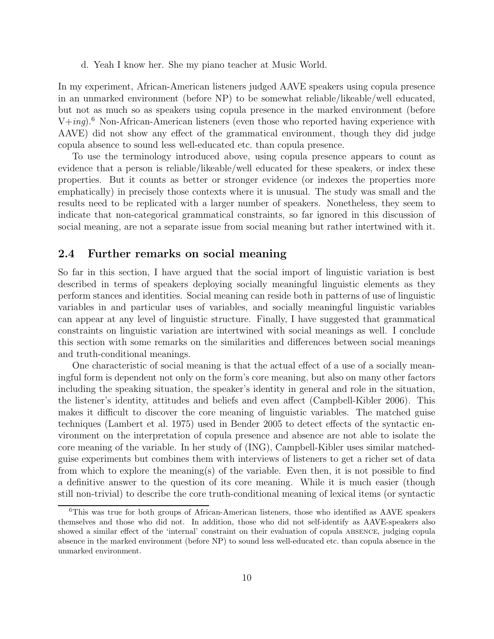d. Yeah I know her. She my piano teacher at Music World.

In my experiment, African-American listeners judged AAVE speakers using copula presence in an unmarked environment (before NP) to be somewhat reliable/likeable/well educated, but not as much so as speakers using copula presence in the marked environment (before  $V+ing$ .<sup>6</sup> Non-African-American listeners (even those who reported having experience with AAVE) did not show any effect of the grammatical environment, though they did judge copula absence to sound less well-educated etc. than copula presence.

To use the terminology introduced above, using copula presence appears to count as evidence that a person is reliable/likeable/well educated for these speakers, or index these properties. But it counts as better or stronger evidence (or indexes the properties more emphatically) in precisely those contexts where it is unusual. The study was small and the results need to be replicated with a larger number of speakers. Nonetheless, they seem to indicate that non-categorical grammatical constraints, so far ignored in this discussion of social meaning, are not a separate issue from social meaning but rather intertwined with it.

#### 2.4 Further remarks on social meaning

So far in this section, I have argued that the social import of linguistic variation is best described in terms of speakers deploying socially meaningful linguistic elements as they perform stances and identities. Social meaning can reside both in patterns of use of linguistic variables in and particular uses of variables, and socially meaningful linguistic variables can appear at any level of linguistic structure. Finally, I have suggested that grammatical constraints on linguistic variation are intertwined with social meanings as well. I conclude this section with some remarks on the similarities and differences between social meanings and truth-conditional meanings.

One characteristic of social meaning is that the actual effect of a use of a socially meaningful form is dependent not only on the form's core meaning, but also on many other factors including the speaking situation, the speaker's identity in general and role in the situation, the listener's identity, attitudes and beliefs and even affect (Campbell-Kibler 2006). This makes it difficult to discover the core meaning of linguistic variables. The matched guise techniques (Lambert et al. 1975) used in Bender 2005 to detect effects of the syntactic environment on the interpretation of copula presence and absence are not able to isolate the core meaning of the variable. In her study of (ING), Campbell-Kibler uses similar matchedguise experiments but combines them with interviews of listeners to get a richer set of data from which to explore the meaning(s) of the variable. Even then, it is not possible to find a definitive answer to the question of its core meaning. While it is much easier (though still non-trivial) to describe the core truth-conditional meaning of lexical items (or syntactic

<sup>6</sup>This was true for both groups of African-American listeners, those who identified as AAVE speakers themselves and those who did not. In addition, those who did not self-identify as AAVE-speakers also showed a similar effect of the 'internal' constraint on their evaluation of copula absence, judging copula absence in the marked environment (before NP) to sound less well-educated etc. than copula absence in the unmarked environment.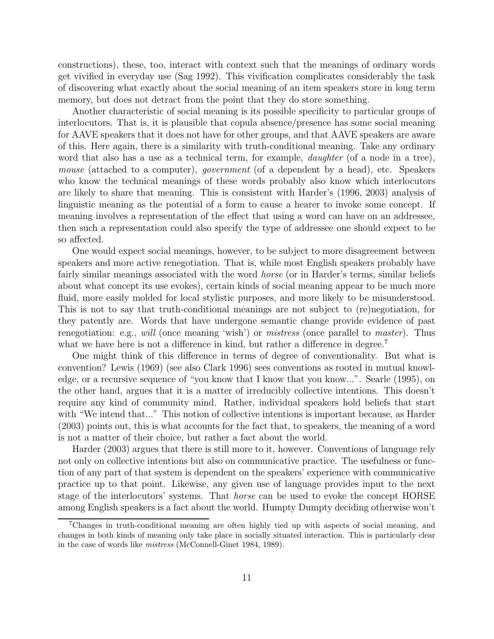constructions), these, too, interact with context such that the meanings of ordinary words get vivified in everyday use (Sag 1992). This vivification complicates considerably the task of discovering what exactly about the social meaning of an item speakers store in long term memory, but does not detract from the point that they do store something.

Another characteristic of social meaning is its possible specificity to particular groups of interlocutors. That is, it is plausible that copula absence/presence has some social meaning for AAVE speakers that it does not have for other groups, and that AAVE speakers are aware of this. Here again, there is a similarity with truth-conditional meaning. Take any ordinary word that also has a use as a technical term, for example, *daughter* (of a node in a tree), mouse (attached to a computer), *government* (of a dependent by a head), etc. Speakers who know the technical meanings of these words probably also know which interlocutors are likely to share that meaning. This is consistent with Harder's (1996, 2003) analysis of linguistic meaning as the potential of a form to cause a hearer to invoke some concept. If meaning involves a representation of the effect that using a word can have on an addressee, then such a representation could also specify the type of addressee one should expect to be so affected.

One would expect social meanings, however, to be subject to more disagreement between speakers and more active renegotiation. That is, while most English speakers probably have fairly similar meanings associated with the word *horse* (or in Harder's terms, similar beliefs about what concept its use evokes), certain kinds of social meaning appear to be much more fluid, more easily molded for local stylistic purposes, and more likely to be misunderstood. This is not to say that truth-conditional meanings are not subject to (re)negotiation, for they patently are. Words that have undergone semantic change provide evidence of past renegotiation: e.g., will (once meaning 'wish') or *mistress* (once parallel to *master*). Thus what we have here is not a difference in kind, but rather a difference in degree.<sup>7</sup>

One might think of this difference in terms of degree of conventionality. But what is convention? Lewis (1969) (see also Clark 1996) sees conventions as rooted in mutual knowledge, or a recursive sequence of "you know that I know that you know...". Searle (1995), on the other hand, argues that it is a matter of irreducibly collective intentions. This doesn't require any kind of community mind. Rather, individual speakers hold beliefs that start with "We intend that..." This notion of collective intentions is important because, as Harder (2003) points out, this is what accounts for the fact that, to speakers, the meaning of a word is not a matter of their choice, but rather a fact about the world.

Harder (2003) argues that there is still more to it, however. Conventions of language rely not only on collective intentions but also on communicative practice. The usefulness or function of any part of that system is dependent on the speakers' experience with communicative practice up to that point. Likewise, any given use of language provides input to the next stage of the interlocutors' systems. That horse can be used to evoke the concept HORSE among English speakers is a fact about the world. Humpty Dumpty deciding otherwise won't

<sup>7</sup>Changes in truth-conditional meaning are often highly tied up with aspects of social meaning, and changes in both kinds of meaning only take place in socially situated interaction. This is particularly clear in the case of words like mistress (McConnell-Ginet 1984, 1989).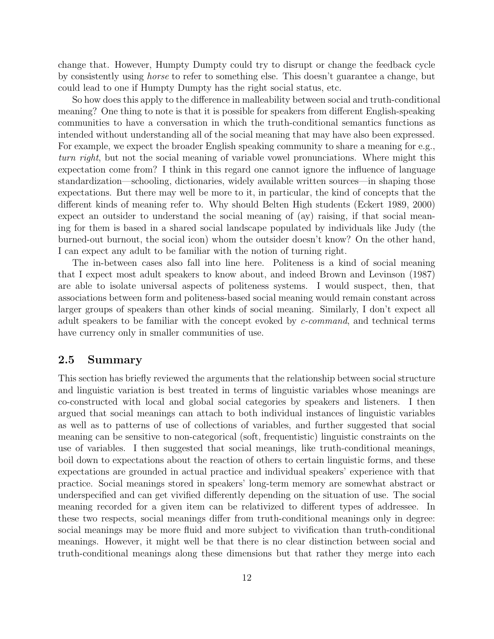change that. However, Humpty Dumpty could try to disrupt or change the feedback cycle by consistently using horse to refer to something else. This doesn't guarantee a change, but could lead to one if Humpty Dumpty has the right social status, etc.

So how does this apply to the difference in malleability between social and truth-conditional meaning? One thing to note is that it is possible for speakers from different English-speaking communities to have a conversation in which the truth-conditional semantics functions as intended without understanding all of the social meaning that may have also been expressed. For example, we expect the broader English speaking community to share a meaning for e.g., turn right, but not the social meaning of variable vowel pronunciations. Where might this expectation come from? I think in this regard one cannot ignore the influence of language standardization—schooling, dictionaries, widely available written sources—in shaping those expectations. But there may well be more to it, in particular, the kind of concepts that the different kinds of meaning refer to. Why should Belten High students (Eckert 1989, 2000) expect an outsider to understand the social meaning of (ay) raising, if that social meaning for them is based in a shared social landscape populated by individuals like Judy (the burned-out burnout, the social icon) whom the outsider doesn't know? On the other hand, I can expect any adult to be familiar with the notion of turning right.

The in-between cases also fall into line here. Politeness is a kind of social meaning that I expect most adult speakers to know about, and indeed Brown and Levinson (1987) are able to isolate universal aspects of politeness systems. I would suspect, then, that associations between form and politeness-based social meaning would remain constant across larger groups of speakers than other kinds of social meaning. Similarly, I don't expect all adult speakers to be familiar with the concept evoked by c-command, and technical terms have currency only in smaller communities of use.

#### 2.5 Summary

This section has briefly reviewed the arguments that the relationship between social structure and linguistic variation is best treated in terms of linguistic variables whose meanings are co-constructed with local and global social categories by speakers and listeners. I then argued that social meanings can attach to both individual instances of linguistic variables as well as to patterns of use of collections of variables, and further suggested that social meaning can be sensitive to non-categorical (soft, frequentistic) linguistic constraints on the use of variables. I then suggested that social meanings, like truth-conditional meanings, boil down to expectations about the reaction of others to certain linguistic forms, and these expectations are grounded in actual practice and individual speakers' experience with that practice. Social meanings stored in speakers' long-term memory are somewhat abstract or underspecified and can get vivified differently depending on the situation of use. The social meaning recorded for a given item can be relativized to different types of addressee. In these two respects, social meanings differ from truth-conditional meanings only in degree: social meanings may be more fluid and more subject to vivification than truth-conditional meanings. However, it might well be that there is no clear distinction between social and truth-conditional meanings along these dimensions but that rather they merge into each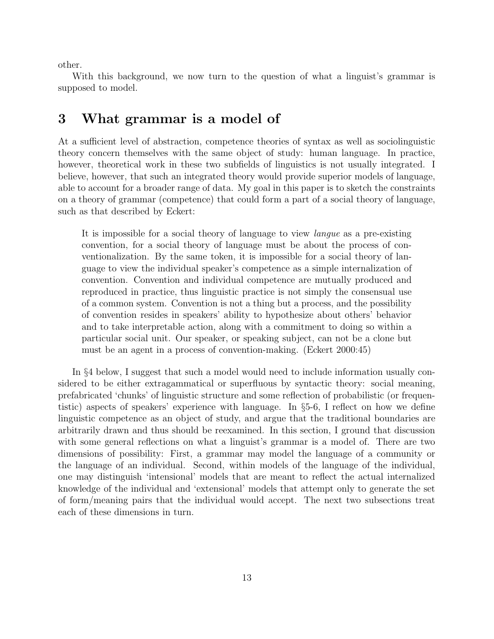other.

With this background, we now turn to the question of what a linguist's grammar is supposed to model.

### 3 What grammar is a model of

At a sufficient level of abstraction, competence theories of syntax as well as sociolinguistic theory concern themselves with the same object of study: human language. In practice, however, theoretical work in these two subfields of linguistics is not usually integrated. I believe, however, that such an integrated theory would provide superior models of language, able to account for a broader range of data. My goal in this paper is to sketch the constraints on a theory of grammar (competence) that could form a part of a social theory of language, such as that described by Eckert:

It is impossible for a social theory of language to view langue as a pre-existing convention, for a social theory of language must be about the process of conventionalization. By the same token, it is impossible for a social theory of language to view the individual speaker's competence as a simple internalization of convention. Convention and individual competence are mutually produced and reproduced in practice, thus linguistic practice is not simply the consensual use of a common system. Convention is not a thing but a process, and the possibility of convention resides in speakers' ability to hypothesize about others' behavior and to take interpretable action, along with a commitment to doing so within a particular social unit. Our speaker, or speaking subject, can not be a clone but must be an agent in a process of convention-making. (Eckert 2000:45)

In §4 below, I suggest that such a model would need to include information usually considered to be either extragammatical or superfluous by syntactic theory: social meaning, prefabricated 'chunks' of linguistic structure and some reflection of probabilistic (or frequentistic) aspects of speakers' experience with language. In §5-6, I reflect on how we define linguistic competence as an object of study, and argue that the traditional boundaries are arbitrarily drawn and thus should be reexamined. In this section, I ground that discussion with some general reflections on what a linguist's grammar is a model of. There are two dimensions of possibility: First, a grammar may model the language of a community or the language of an individual. Second, within models of the language of the individual, one may distinguish 'intensional' models that are meant to reflect the actual internalized knowledge of the individual and 'extensional' models that attempt only to generate the set of form/meaning pairs that the individual would accept. The next two subsections treat each of these dimensions in turn.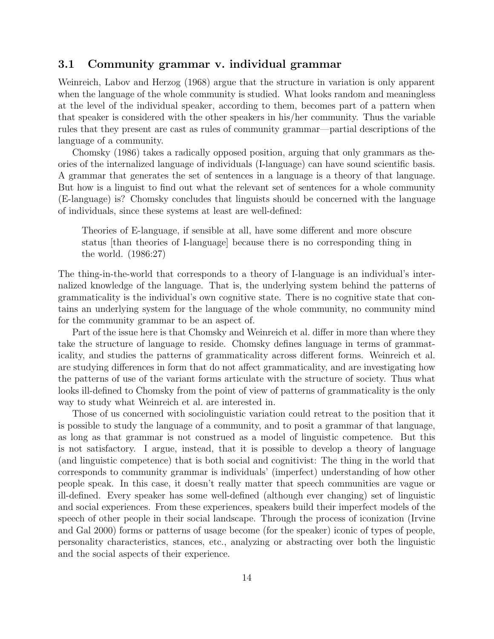#### 3.1 Community grammar v. individual grammar

Weinreich, Labov and Herzog (1968) argue that the structure in variation is only apparent when the language of the whole community is studied. What looks random and meaningless at the level of the individual speaker, according to them, becomes part of a pattern when that speaker is considered with the other speakers in his/her community. Thus the variable rules that they present are cast as rules of community grammar—partial descriptions of the language of a community.

Chomsky (1986) takes a radically opposed position, arguing that only grammars as theories of the internalized language of individuals (I-language) can have sound scientific basis. A grammar that generates the set of sentences in a language is a theory of that language. But how is a linguist to find out what the relevant set of sentences for a whole community (E-language) is? Chomsky concludes that linguists should be concerned with the language of individuals, since these systems at least are well-defined:

Theories of E-language, if sensible at all, have some different and more obscure status [than theories of I-language] because there is no corresponding thing in the world. (1986:27)

The thing-in-the-world that corresponds to a theory of I-language is an individual's internalized knowledge of the language. That is, the underlying system behind the patterns of grammaticality is the individual's own cognitive state. There is no cognitive state that contains an underlying system for the language of the whole community, no community mind for the community grammar to be an aspect of.

Part of the issue here is that Chomsky and Weinreich et al. differ in more than where they take the structure of language to reside. Chomsky defines language in terms of grammaticality, and studies the patterns of grammaticality across different forms. Weinreich et al. are studying differences in form that do not affect grammaticality, and are investigating how the patterns of use of the variant forms articulate with the structure of society. Thus what looks ill-defined to Chomsky from the point of view of patterns of grammaticality is the only way to study what Weinreich et al. are interested in.

Those of us concerned with sociolinguistic variation could retreat to the position that it is possible to study the language of a community, and to posit a grammar of that language, as long as that grammar is not construed as a model of linguistic competence. But this is not satisfactory. I argue, instead, that it is possible to develop a theory of language (and linguistic competence) that is both social and cognitivist: The thing in the world that corresponds to community grammar is individuals' (imperfect) understanding of how other people speak. In this case, it doesn't really matter that speech communities are vague or ill-defined. Every speaker has some well-defined (although ever changing) set of linguistic and social experiences. From these experiences, speakers build their imperfect models of the speech of other people in their social landscape. Through the process of iconization (Irvine and Gal 2000) forms or patterns of usage become (for the speaker) iconic of types of people, personality characteristics, stances, etc., analyzing or abstracting over both the linguistic and the social aspects of their experience.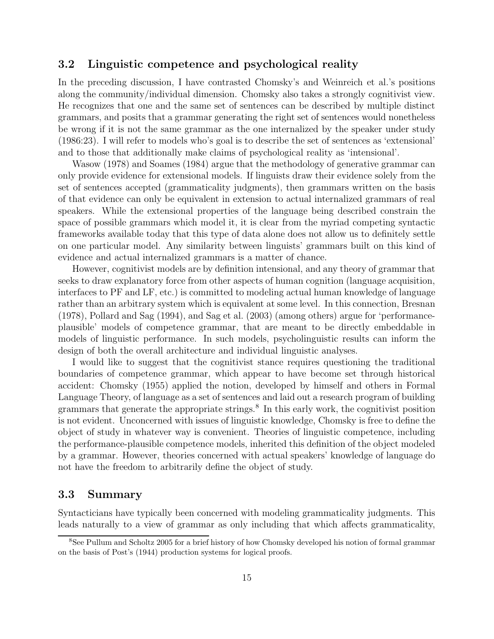#### 3.2 Linguistic competence and psychological reality

In the preceding discussion, I have contrasted Chomsky's and Weinreich et al.'s positions along the community/individual dimension. Chomsky also takes a strongly cognitivist view. He recognizes that one and the same set of sentences can be described by multiple distinct grammars, and posits that a grammar generating the right set of sentences would nonetheless be wrong if it is not the same grammar as the one internalized by the speaker under study (1986:23). I will refer to models who's goal is to describe the set of sentences as 'extensional' and to those that additionally make claims of psychological reality as 'intensional'.

Wasow (1978) and Soames (1984) argue that the methodology of generative grammar can only provide evidence for extensional models. If linguists draw their evidence solely from the set of sentences accepted (grammaticality judgments), then grammars written on the basis of that evidence can only be equivalent in extension to actual internalized grammars of real speakers. While the extensional properties of the language being described constrain the space of possible grammars which model it, it is clear from the myriad competing syntactic frameworks available today that this type of data alone does not allow us to definitely settle on one particular model. Any similarity between linguists' grammars built on this kind of evidence and actual internalized grammars is a matter of chance.

However, cognitivist models are by definition intensional, and any theory of grammar that seeks to draw explanatory force from other aspects of human cognition (language acquisition, interfaces to PF and LF, etc.) is committed to modeling actual human knowledge of language rather than an arbitrary system which is equivalent at some level. In this connection, Bresnan (1978), Pollard and Sag (1994), and Sag et al. (2003) (among others) argue for 'performanceplausible' models of competence grammar, that are meant to be directly embeddable in models of linguistic performance. In such models, psycholinguistic results can inform the design of both the overall architecture and individual linguistic analyses.

I would like to suggest that the cognitivist stance requires questioning the traditional boundaries of competence grammar, which appear to have become set through historical accident: Chomsky (1955) applied the notion, developed by himself and others in Formal Language Theory, of language as a set of sentences and laid out a research program of building grammars that generate the appropriate strings.<sup>8</sup> In this early work, the cognitivist position is not evident. Unconcerned with issues of linguistic knowledge, Chomsky is free to define the object of study in whatever way is convenient. Theories of linguistic competence, including the performance-plausible competence models, inherited this definition of the object modeled by a grammar. However, theories concerned with actual speakers' knowledge of language do not have the freedom to arbitrarily define the object of study.

#### 3.3 Summary

Syntacticians have typically been concerned with modeling grammaticality judgments. This leads naturally to a view of grammar as only including that which affects grammaticality,

<sup>8</sup>See Pullum and Scholtz 2005 for a brief history of how Chomsky developed his notion of formal grammar on the basis of Post's (1944) production systems for logical proofs.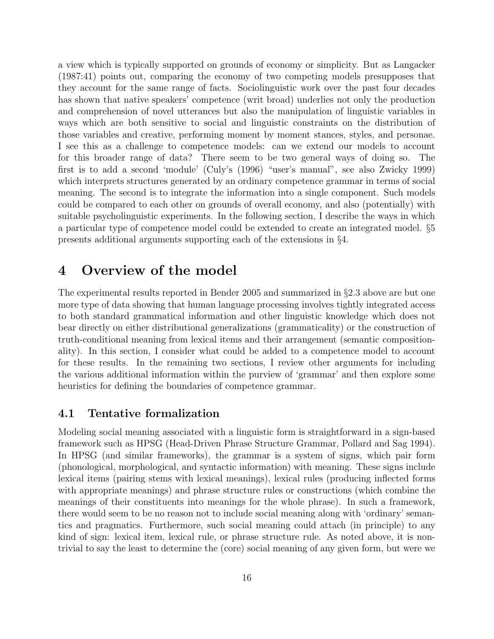a view which is typically supported on grounds of economy or simplicity. But as Langacker (1987:41) points out, comparing the economy of two competing models presupposes that they account for the same range of facts. Sociolinguistic work over the past four decades has shown that native speakers' competence (writ broad) underlies not only the production and comprehension of novel utterances but also the manipulation of linguistic variables in ways which are both sensitive to social and linguistic constraints on the distribution of those variables and creative, performing moment by moment stances, styles, and personae. I see this as a challenge to competence models: can we extend our models to account for this broader range of data? There seem to be two general ways of doing so. The first is to add a second 'module' (Culy's (1996) "user's manual", see also Zwicky 1999) which interprets structures generated by an ordinary competence grammar in terms of social meaning. The second is to integrate the information into a single component. Such models could be compared to each other on grounds of overall economy, and also (potentially) with suitable psycholinguistic experiments. In the following section, I describe the ways in which a particular type of competence model could be extended to create an integrated model. §5 presents additional arguments supporting each of the extensions in §4.

### 4 Overview of the model

The experimental results reported in Bender 2005 and summarized in §2.3 above are but one more type of data showing that human language processing involves tightly integrated access to both standard grammatical information and other linguistic knowledge which does not bear directly on either distributional generalizations (grammaticality) or the construction of truth-conditional meaning from lexical items and their arrangement (semantic compositionality). In this section, I consider what could be added to a competence model to account for these results. In the remaining two sections, I review other arguments for including the various additional information within the purview of 'grammar' and then explore some heuristics for defining the boundaries of competence grammar.

#### 4.1 Tentative formalization

Modeling social meaning associated with a linguistic form is straightforward in a sign-based framework such as HPSG (Head-Driven Phrase Structure Grammar, Pollard and Sag 1994). In HPSG (and similar frameworks), the grammar is a system of signs, which pair form (phonological, morphological, and syntactic information) with meaning. These signs include lexical items (pairing stems with lexical meanings), lexical rules (producing inflected forms with appropriate meanings) and phrase structure rules or constructions (which combine the meanings of their constituents into meanings for the whole phrase). In such a framework, there would seem to be no reason not to include social meaning along with 'ordinary' semantics and pragmatics. Furthermore, such social meaning could attach (in principle) to any kind of sign: lexical item, lexical rule, or phrase structure rule. As noted above, it is nontrivial to say the least to determine the (core) social meaning of any given form, but were we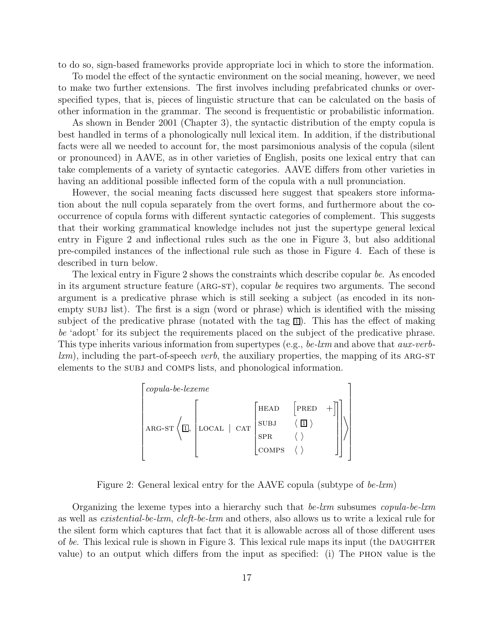to do so, sign-based frameworks provide appropriate loci in which to store the information.

To model the effect of the syntactic environment on the social meaning, however, we need to make two further extensions. The first involves including prefabricated chunks or overspecified types, that is, pieces of linguistic structure that can be calculated on the basis of other information in the grammar. The second is frequentistic or probabilistic information.

As shown in Bender 2001 (Chapter 3), the syntactic distribution of the empty copula is best handled in terms of a phonologically null lexical item. In addition, if the distributional facts were all we needed to account for, the most parsimonious analysis of the copula (silent or pronounced) in AAVE, as in other varieties of English, posits one lexical entry that can take complements of a variety of syntactic categories. AAVE differs from other varieties in having an additional possible inflected form of the copula with a null pronunciation.

However, the social meaning facts discussed here suggest that speakers store information about the null copula separately from the overt forms, and furthermore about the cooccurrence of copula forms with different syntactic categories of complement. This suggests that their working grammatical knowledge includes not just the supertype general lexical entry in Figure 2 and inflectional rules such as the one in Figure 3, but also additional pre-compiled instances of the inflectional rule such as those in Figure 4. Each of these is described in turn below.

The lexical entry in Figure 2 shows the constraints which describe copular be. As encoded in its argument structure feature (ARG-ST), copular be requires two arguments. The second argument is a predicative phrase which is still seeking a subject (as encoded in its nonempty subjection. The first is a sign (word or phrase) which is identified with the missing subject of the predicative phrase (notated with the tag  $\Box$ ). This has the effect of making be 'adopt' for its subject the requirements placed on the subject of the predicative phrase. This type inherits various information from supertypes (e.g., be-lxm and above that *aux-verb* $km$ , including the part-of-speech verb, the auxiliary properties, the mapping of its ARG-ST elements to the subj and COMPS lists, and phonological information.

$$
\begin{bmatrix} copula-be-lexeme \\ & \\ \text{ARG-ST} \left\langle \underline{\Box}, \begin{bmatrix} & & \\ \text{LOCAL} & \text{CAT} & \text{SUBJ} & \left\langle \underline{\Box} \right\rangle & + \end{bmatrix} \end{bmatrix} \right\rangle \end{bmatrix}
$$

Figure 2: General lexical entry for the AAVE copula (subtype of  $be-lxm$ )

Organizing the lexeme types into a hierarchy such that  $be-lxm$  subsumes *copula-be-lxm* as well as existential-be-lxm, cleft-be-lxm and others, also allows us to write a lexical rule for the silent form which captures that fact that it is allowable across all of those different uses of be. This lexical rule is shown in Figure 3. This lexical rule maps its input (the DAUGHTER value) to an output which differs from the input as specified: (i) The phon value is the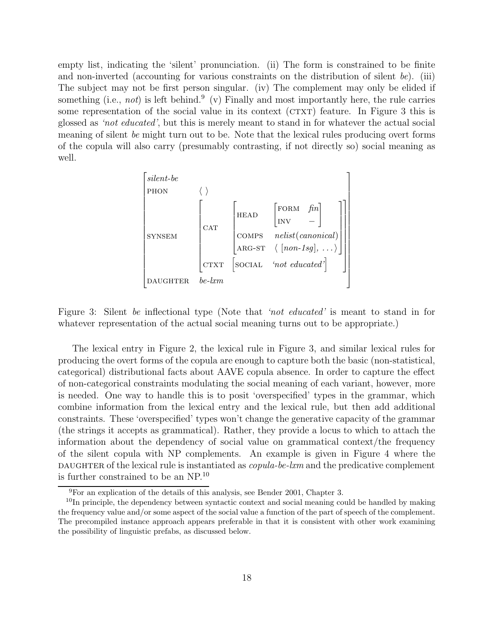empty list, indicating the 'silent' pronunciation. (ii) The form is constrained to be finite and non-inverted (accounting for various constraints on the distribution of silent be). (iii) The subject may not be first person singular. (iv) The complement may only be elided if something (i.e., not) is left behind.<sup>9</sup> (v) Finally and most importantly here, the rule carries some representation of the social value in its context ( $CTXT$ ) feature. In Figure 3 this is glossed as 'not educated', but this is merely meant to stand in for whatever the actual social meaning of silent be might turn out to be. Note that the lexical rules producing overt forms of the copula will also carry (presumably contrasting, if not directly so) social meaning as well.



Figure 3: Silent be inflectional type (Note that 'not educated' is meant to stand in for whatever representation of the actual social meaning turns out to be appropriate.)

The lexical entry in Figure 2, the lexical rule in Figure 3, and similar lexical rules for producing the overt forms of the copula are enough to capture both the basic (non-statistical, categorical) distributional facts about AAVE copula absence. In order to capture the effect of non-categorical constraints modulating the social meaning of each variant, however, more is needed. One way to handle this is to posit 'overspecified' types in the grammar, which combine information from the lexical entry and the lexical rule, but then add additional constraints. These 'overspecified' types won't change the generative capacity of the grammar (the strings it accepts as grammatical). Rather, they provide a locus to which to attach the information about the dependency of social value on grammatical context/the frequency of the silent copula with NP complements. An example is given in Figure 4 where the DAUGHTER of the lexical rule is instantiated as  $copula-be-lxm$  and the predicative complement is further constrained to be an NP. 10

<sup>9</sup>For an explication of the details of this analysis, see Bender 2001, Chapter 3.

<sup>&</sup>lt;sup>10</sup>In principle, the dependency between syntactic context and social meaning could be handled by making the frequency value and/or some aspect of the social value a function of the part of speech of the complement. The precompiled instance approach appears preferable in that it is consistent with other work examining the possibility of linguistic prefabs, as discussed below.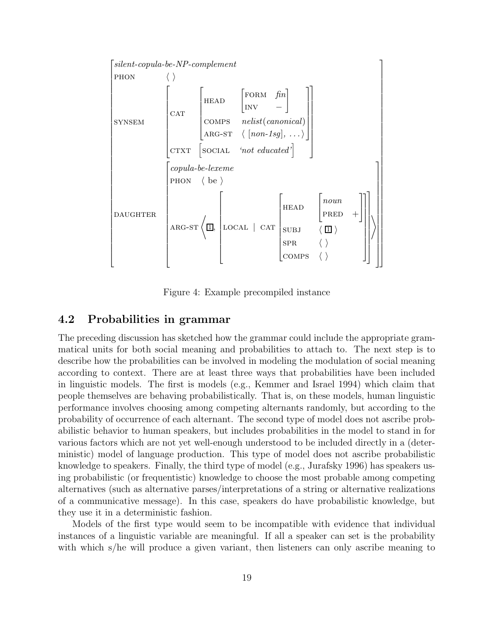

Figure 4: Example precompiled instance

#### 4.2 Probabilities in grammar

The preceding discussion has sketched how the grammar could include the appropriate grammatical units for both social meaning and probabilities to attach to. The next step is to describe how the probabilities can be involved in modeling the modulation of social meaning according to context. There are at least three ways that probabilities have been included in linguistic models. The first is models (e.g., Kemmer and Israel 1994) which claim that people themselves are behaving probabilistically. That is, on these models, human linguistic performance involves choosing among competing alternants randomly, but according to the probability of occurrence of each alternant. The second type of model does not ascribe probabilistic behavior to human speakers, but includes probabilities in the model to stand in for various factors which are not yet well-enough understood to be included directly in a (deterministic) model of language production. This type of model does not ascribe probabilistic knowledge to speakers. Finally, the third type of model (e.g., Jurafsky 1996) has speakers using probabilistic (or frequentistic) knowledge to choose the most probable among competing alternatives (such as alternative parses/interpretations of a string or alternative realizations of a communicative message). In this case, speakers do have probabilistic knowledge, but they use it in a deterministic fashion.

Models of the first type would seem to be incompatible with evidence that individual instances of a linguistic variable are meaningful. If all a speaker can set is the probability with which s/he will produce a given variant, then listeners can only ascribe meaning to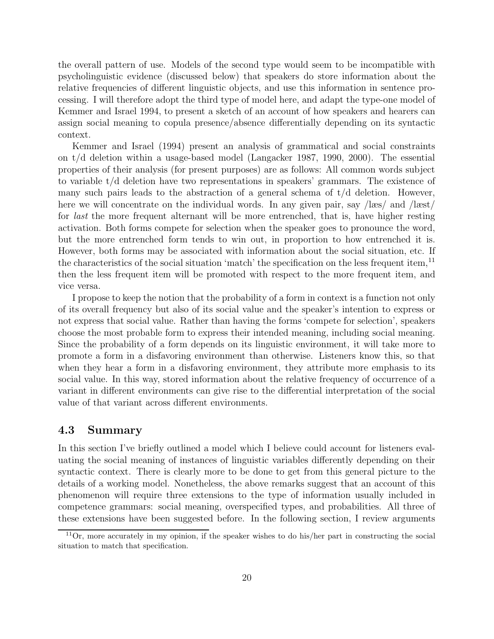the overall pattern of use. Models of the second type would seem to be incompatible with psycholinguistic evidence (discussed below) that speakers do store information about the relative frequencies of different linguistic objects, and use this information in sentence processing. I will therefore adopt the third type of model here, and adapt the type-one model of Kemmer and Israel 1994, to present a sketch of an account of how speakers and hearers can assign social meaning to copula presence/absence differentially depending on its syntactic context.

Kemmer and Israel (1994) present an analysis of grammatical and social constraints on t/d deletion within a usage-based model (Langacker 1987, 1990, 2000). The essential properties of their analysis (for present purposes) are as follows: All common words subject to variable t/d deletion have two representations in speakers' grammars. The existence of many such pairs leads to the abstraction of a general schema of  $t/d$  deletion. However, here we will concentrate on the individual words. In any given pair, say /læs/ and /læst/ for last the more frequent alternant will be more entrenched, that is, have higher resting activation. Both forms compete for selection when the speaker goes to pronounce the word, but the more entrenched form tends to win out, in proportion to how entrenched it is. However, both forms may be associated with information about the social situation, etc. If the characteristics of the social situation 'match' the specification on the less frequent item,<sup>11</sup> then the less frequent item will be promoted with respect to the more frequent item, and vice versa.

I propose to keep the notion that the probability of a form in context is a function not only of its overall frequency but also of its social value and the speaker's intention to express or not express that social value. Rather than having the forms 'compete for selection', speakers choose the most probable form to express their intended meaning, including social meaning. Since the probability of a form depends on its linguistic environment, it will take more to promote a form in a disfavoring environment than otherwise. Listeners know this, so that when they hear a form in a disfavoring environment, they attribute more emphasis to its social value. In this way, stored information about the relative frequency of occurrence of a variant in different environments can give rise to the differential interpretation of the social value of that variant across different environments.

#### 4.3 Summary

In this section I've briefly outlined a model which I believe could account for listeners evaluating the social meaning of instances of linguistic variables differently depending on their syntactic context. There is clearly more to be done to get from this general picture to the details of a working model. Nonetheless, the above remarks suggest that an account of this phenomenon will require three extensions to the type of information usually included in competence grammars: social meaning, overspecified types, and probabilities. All three of these extensions have been suggested before. In the following section, I review arguments

 $11$ Or, more accurately in my opinion, if the speaker wishes to do his/her part in constructing the social situation to match that specification.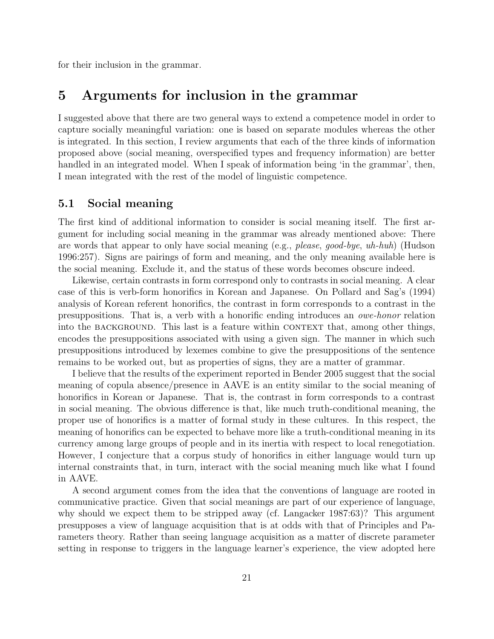for their inclusion in the grammar.

### 5 Arguments for inclusion in the grammar

I suggested above that there are two general ways to extend a competence model in order to capture socially meaningful variation: one is based on separate modules whereas the other is integrated. In this section, I review arguments that each of the three kinds of information proposed above (social meaning, overspecified types and frequency information) are better handled in an integrated model. When I speak of information being 'in the grammar', then, I mean integrated with the rest of the model of linguistic competence.

#### 5.1 Social meaning

The first kind of additional information to consider is social meaning itself. The first argument for including social meaning in the grammar was already mentioned above: There are words that appear to only have social meaning (e.g., please, good-bye, uh-huh) (Hudson 1996:257). Signs are pairings of form and meaning, and the only meaning available here is the social meaning. Exclude it, and the status of these words becomes obscure indeed.

Likewise, certain contrasts in form correspond only to contrasts in social meaning. A clear case of this is verb-form honorifics in Korean and Japanese. On Pollard and Sag's (1994) analysis of Korean referent honorifics, the contrast in form corresponds to a contrast in the presuppositions. That is, a verb with a honorific ending introduces an owe-honor relation into the BACKGROUND. This last is a feature within CONTEXT that, among other things, encodes the presuppositions associated with using a given sign. The manner in which such presuppositions introduced by lexemes combine to give the presuppositions of the sentence remains to be worked out, but as properties of signs, they are a matter of grammar.

I believe that the results of the experiment reported in Bender 2005 suggest that the social meaning of copula absence/presence in AAVE is an entity similar to the social meaning of honorifics in Korean or Japanese. That is, the contrast in form corresponds to a contrast in social meaning. The obvious difference is that, like much truth-conditional meaning, the proper use of honorifics is a matter of formal study in these cultures. In this respect, the meaning of honorifics can be expected to behave more like a truth-conditional meaning in its currency among large groups of people and in its inertia with respect to local renegotiation. However, I conjecture that a corpus study of honorifics in either language would turn up internal constraints that, in turn, interact with the social meaning much like what I found in AAVE.

A second argument comes from the idea that the conventions of language are rooted in communicative practice. Given that social meanings are part of our experience of language, why should we expect them to be stripped away (cf. Langacker 1987:63)? This argument presupposes a view of language acquisition that is at odds with that of Principles and Parameters theory. Rather than seeing language acquisition as a matter of discrete parameter setting in response to triggers in the language learner's experience, the view adopted here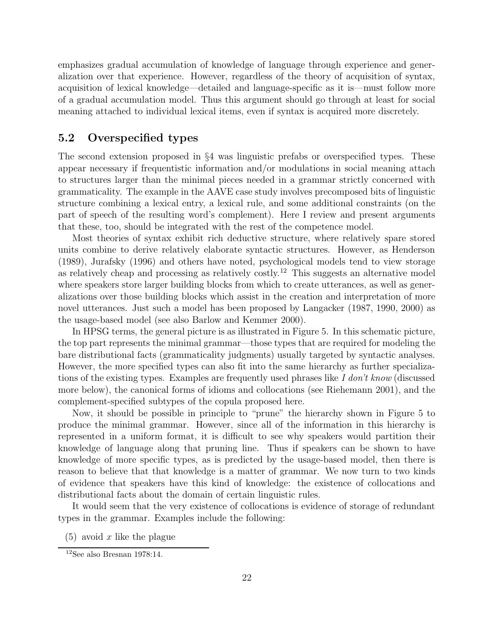emphasizes gradual accumulation of knowledge of language through experience and generalization over that experience. However, regardless of the theory of acquisition of syntax, acquisition of lexical knowledge—detailed and language-specific as it is—must follow more of a gradual accumulation model. Thus this argument should go through at least for social meaning attached to individual lexical items, even if syntax is acquired more discretely.

#### 5.2 Overspecified types

The second extension proposed in §4 was linguistic prefabs or overspecified types. These appear necessary if frequentistic information and/or modulations in social meaning attach to structures larger than the minimal pieces needed in a grammar strictly concerned with grammaticality. The example in the AAVE case study involves precomposed bits of linguistic structure combining a lexical entry, a lexical rule, and some additional constraints (on the part of speech of the resulting word's complement). Here I review and present arguments that these, too, should be integrated with the rest of the competence model.

Most theories of syntax exhibit rich deductive structure, where relatively spare stored units combine to derive relatively elaborate syntactic structures. However, as Henderson (1989), Jurafsky (1996) and others have noted, psychological models tend to view storage as relatively cheap and processing as relatively costly.<sup>12</sup> This suggests an alternative model where speakers store larger building blocks from which to create utterances, as well as generalizations over those building blocks which assist in the creation and interpretation of more novel utterances. Just such a model has been proposed by Langacker (1987, 1990, 2000) as the usage-based model (see also Barlow and Kemmer 2000).

In HPSG terms, the general picture is as illustrated in Figure 5. In this schematic picture, the top part represents the minimal grammar—those types that are required for modeling the bare distributional facts (grammaticality judgments) usually targeted by syntactic analyses. However, the more specified types can also fit into the same hierarchy as further specializations of the existing types. Examples are frequently used phrases like I don't know (discussed more below), the canonical forms of idioms and collocations (see Riehemann 2001), and the complement-specified subtypes of the copula proposed here.

Now, it should be possible in principle to "prune" the hierarchy shown in Figure 5 to produce the minimal grammar. However, since all of the information in this hierarchy is represented in a uniform format, it is difficult to see why speakers would partition their knowledge of language along that pruning line. Thus if speakers can be shown to have knowledge of more specific types, as is predicted by the usage-based model, then there is reason to believe that that knowledge is a matter of grammar. We now turn to two kinds of evidence that speakers have this kind of knowledge: the existence of collocations and distributional facts about the domain of certain linguistic rules.

It would seem that the very existence of collocations is evidence of storage of redundant types in the grammar. Examples include the following:

 $(5)$  avoid x like the plague

<sup>12</sup>See also Bresnan 1978:14.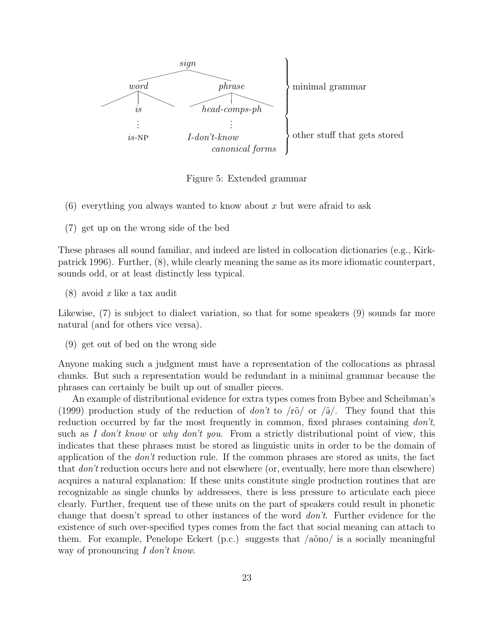

Figure 5: Extended grammar

- (6) everything you always wanted to know about x but were afraid to ask
- (7) get up on the wrong side of the bed

These phrases all sound familiar, and indeed are listed in collocation dictionaries (e.g., Kirkpatrick 1996). Further, (8), while clearly meaning the same as its more idiomatic counterpart, sounds odd, or at least distinctly less typical.

 $(8)$  avoid x like a tax audit

Likewise, (7) is subject to dialect variation, so that for some speakers (9) sounds far more natural (and for others vice versa).

(9) get out of bed on the wrong side

Anyone making such a judgment must have a representation of the collocations as phrasal chunks. But such a representation would be redundant in a minimal grammar because the phrases can certainly be built up out of smaller pieces.

An example of distributional evidence for extra types comes from Bybee and Scheibman's (1999) production study of the reduction of *don't* to  $\sqrt{r\delta}$  or  $\sqrt{\frac{3}{r}}$ . They found that this reduction occurred by far the most frequently in common, fixed phrases containing  $don't$ , such as I don't know or why don't you. From a strictly distributional point of view, this indicates that these phrases must be stored as linguistic units in order to be the domain of application of the don't reduction rule. If the common phrases are stored as units, the fact that *don't* reduction occurs here and not elsewhere (or, eventually, here more than elsewhere) acquires a natural explanation: If these units constitute single production routines that are recognizable as single chunks by addressees, there is less pressure to articulate each piece clearly. Further, frequent use of these units on the part of speakers could result in phonetic change that doesn't spread to other instances of the word don't. Further evidence for the existence of such over-specified types comes from the fact that social meaning can attach to them. For example, Penelope Eckert (p.c.) suggests that  $\alpha$ <sup>ono</sup>/ is a socially meaningful way of pronouncing I don't know.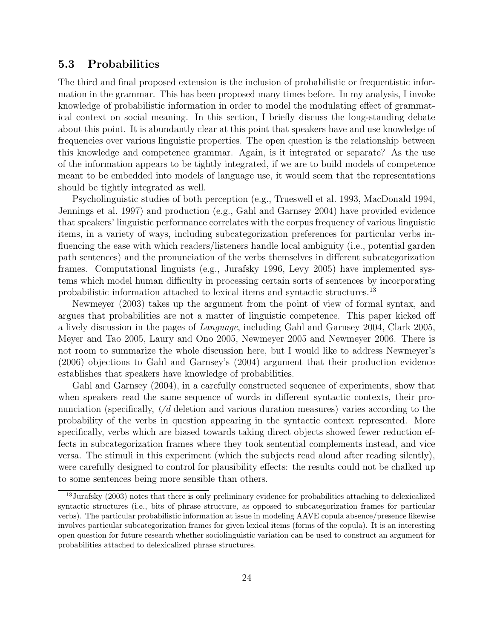#### 5.3 Probabilities

The third and final proposed extension is the inclusion of probabilistic or frequentistic information in the grammar. This has been proposed many times before. In my analysis, I invoke knowledge of probabilistic information in order to model the modulating effect of grammatical context on social meaning. In this section, I briefly discuss the long-standing debate about this point. It is abundantly clear at this point that speakers have and use knowledge of frequencies over various linguistic properties. The open question is the relationship between this knowledge and competence grammar. Again, is it integrated or separate? As the use of the information appears to be tightly integrated, if we are to build models of competence meant to be embedded into models of language use, it would seem that the representations should be tightly integrated as well.

Psycholinguistic studies of both perception (e.g., Trueswell et al. 1993, MacDonald 1994, Jennings et al. 1997) and production (e.g., Gahl and Garnsey 2004) have provided evidence that speakers' linguistic performance correlates with the corpus frequency of various linguistic items, in a variety of ways, including subcategorization preferences for particular verbs influencing the ease with which readers/listeners handle local ambiguity (i.e., potential garden path sentences) and the pronunciation of the verbs themselves in different subcategorization frames. Computational linguists (e.g., Jurafsky 1996, Levy 2005) have implemented systems which model human difficulty in processing certain sorts of sentences by incorporating probabilistic information attached to lexical items and syntactic structures.<sup>13</sup>

Newmeyer (2003) takes up the argument from the point of view of formal syntax, and argues that probabilities are not a matter of linguistic competence. This paper kicked off a lively discussion in the pages of Language, including Gahl and Garnsey 2004, Clark 2005, Meyer and Tao 2005, Laury and Ono 2005, Newmeyer 2005 and Newmeyer 2006. There is not room to summarize the whole discussion here, but I would like to address Newmeyer's (2006) objections to Gahl and Garnsey's (2004) argument that their production evidence establishes that speakers have knowledge of probabilities.

Gahl and Garnsey (2004), in a carefully constructed sequence of experiments, show that when speakers read the same sequence of words in different syntactic contexts, their pronunciation (specifically,  $t/d$  deletion and various duration measures) varies according to the probability of the verbs in question appearing in the syntactic context represented. More specifically, verbs which are biased towards taking direct objects showed fewer reduction effects in subcategorization frames where they took sentential complements instead, and vice versa. The stimuli in this experiment (which the subjects read aloud after reading silently), were carefully designed to control for plausibility effects: the results could not be chalked up to some sentences being more sensible than others.

<sup>&</sup>lt;sup>13</sup> Jurafsky (2003) notes that there is only preliminary evidence for probabilities attaching to delexicalized syntactic structures (i.e., bits of phrase structure, as opposed to subcategorization frames for particular verbs). The particular probabilistic information at issue in modeling AAVE copula absence/presence likewise involves particular subcategorization frames for given lexical items (forms of the copula). It is an interesting open question for future research whether sociolinguistic variation can be used to construct an argument for probabilities attached to delexicalized phrase structures.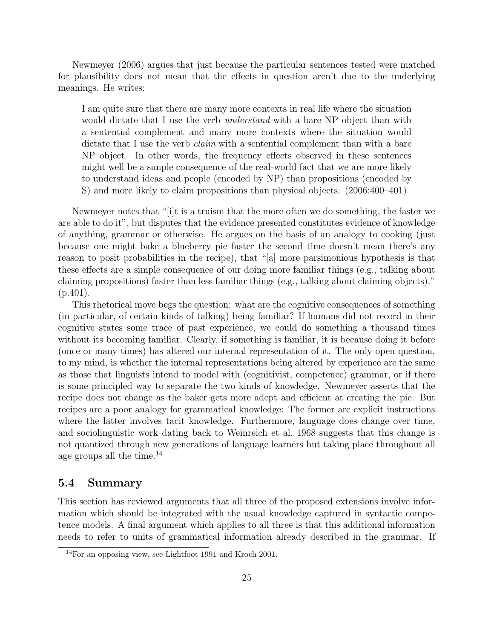Newmeyer (2006) argues that just because the particular sentences tested were matched for plausibility does not mean that the effects in question aren't due to the underlying meanings. He writes:

I am quite sure that there are many more contexts in real life where the situation would dictate that I use the verb *understand* with a bare NP object than with a sentential complement and many more contexts where the situation would dictate that I use the verb *claim* with a sentential complement than with a bare NP object. In other words, the frequency effects observed in these sentences might well be a simple consequence of the real-world fact that we are more likely to understand ideas and people (encoded by NP) than propositions (encoded by S) and more likely to claim propositions than physical objects. (2006:400–401)

Newmeyer notes that "[i]t is a truism that the more often we do something, the faster we are able to do it", but disputes that the evidence presented constitutes evidence of knowledge of anything, grammar or otherwise. He argues on the basis of an analogy to cooking (just because one might bake a blueberry pie faster the second time doesn't mean there's any reason to posit probabilities in the recipe), that "[a] more parsimonious hypothesis is that these effects are a simple consequence of our doing more familiar things (e.g., talking about claiming propositions) faster than less familiar things (e.g., talking about claiming objects)."  $(p.401)$ .

This rhetorical move begs the question: what are the cognitive consequences of something (in particular, of certain kinds of talking) being familiar? If humans did not record in their cognitive states some trace of past experience, we could do something a thousand times without its becoming familiar. Clearly, if something is familiar, it is because doing it before (once or many times) has altered our internal representation of it. The only open question, to my mind, is whether the internal representations being altered by experience are the same as those that linguists intend to model with (cognitivist, competence) grammar, or if there is some principled way to separate the two kinds of knowledge. Newmeyer asserts that the recipe does not change as the baker gets more adept and efficient at creating the pie. But recipes are a poor analogy for grammatical knowledge: The former are explicit instructions where the latter involves tacit knowledge. Furthermore, language does change over time, and sociolinguistic work dating back to Weinreich et al. 1968 suggests that this change is not quantized through new generations of language learners but taking place throughout all age groups all the time.<sup>14</sup>

#### 5.4 Summary

This section has reviewed arguments that all three of the proposed extensions involve information which should be integrated with the usual knowledge captured in syntactic competence models. A final argument which applies to all three is that this additional information needs to refer to units of grammatical information already described in the grammar. If

<sup>14</sup>For an opposing view, see Lightfoot 1991 and Kroch 2001.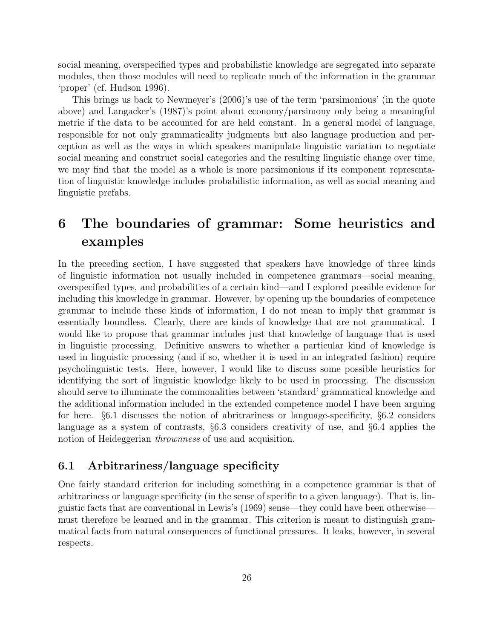social meaning, overspecified types and probabilistic knowledge are segregated into separate modules, then those modules will need to replicate much of the information in the grammar 'proper' (cf. Hudson 1996).

This brings us back to Newmeyer's (2006)'s use of the term 'parsimonious' (in the quote above) and Langacker's (1987)'s point about economy/parsimony only being a meaningful metric if the data to be accounted for are held constant. In a general model of language, responsible for not only grammaticality judgments but also language production and perception as well as the ways in which speakers manipulate linguistic variation to negotiate social meaning and construct social categories and the resulting linguistic change over time, we may find that the model as a whole is more parsimonious if its component representation of linguistic knowledge includes probabilistic information, as well as social meaning and linguistic prefabs.

# 6 The boundaries of grammar: Some heuristics and examples

In the preceding section, I have suggested that speakers have knowledge of three kinds of linguistic information not usually included in competence grammars—social meaning, overspecified types, and probabilities of a certain kind—and I explored possible evidence for including this knowledge in grammar. However, by opening up the boundaries of competence grammar to include these kinds of information, I do not mean to imply that grammar is essentially boundless. Clearly, there are kinds of knowledge that are not grammatical. I would like to propose that grammar includes just that knowledge of language that is used in linguistic processing. Definitive answers to whether a particular kind of knowledge is used in linguistic processing (and if so, whether it is used in an integrated fashion) require psycholinguistic tests. Here, however, I would like to discuss some possible heuristics for identifying the sort of linguistic knowledge likely to be used in processing. The discussion should serve to illuminate the commonalities between 'standard' grammatical knowledge and the additional information included in the extended competence model I have been arguing for here. §6.1 discusses the notion of abritrariness or language-specificity, §6.2 considers language as a system of contrasts, §6.3 considers creativity of use, and §6.4 applies the notion of Heideggerian *thrownness* of use and acquisition.

#### 6.1 Arbitrariness/language specificity

One fairly standard criterion for including something in a competence grammar is that of arbitrariness or language specificity (in the sense of specific to a given language). That is, linguistic facts that are conventional in Lewis's (1969) sense—they could have been otherwise must therefore be learned and in the grammar. This criterion is meant to distinguish grammatical facts from natural consequences of functional pressures. It leaks, however, in several respects.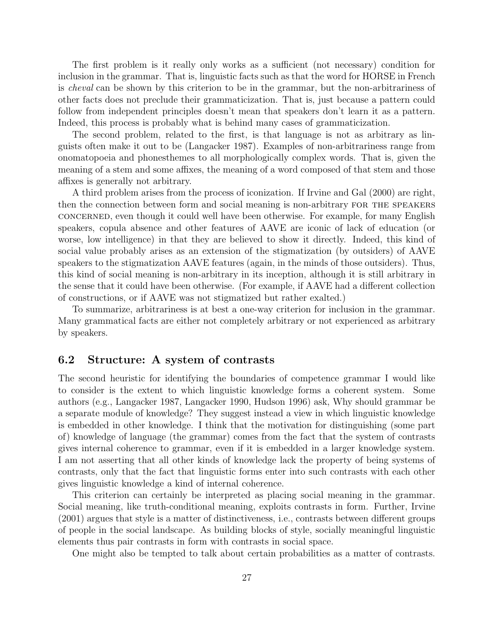The first problem is it really only works as a sufficient (not necessary) condition for inclusion in the grammar. That is, linguistic facts such as that the word for HORSE in French is cheval can be shown by this criterion to be in the grammar, but the non-arbitrariness of other facts does not preclude their grammaticization. That is, just because a pattern could follow from independent principles doesn't mean that speakers don't learn it as a pattern. Indeed, this process is probably what is behind many cases of grammaticization.

The second problem, related to the first, is that language is not as arbitrary as linguists often make it out to be (Langacker 1987). Examples of non-arbitrariness range from onomatopoeia and phonesthemes to all morphologically complex words. That is, given the meaning of a stem and some affixes, the meaning of a word composed of that stem and those affixes is generally not arbitrary.

A third problem arises from the process of iconization. If Irvine and Gal (2000) are right, then the connection between form and social meaning is non-arbitrary for the speakers concerned, even though it could well have been otherwise. For example, for many English speakers, copula absence and other features of AAVE are iconic of lack of education (or worse, low intelligence) in that they are believed to show it directly. Indeed, this kind of social value probably arises as an extension of the stigmatization (by outsiders) of AAVE speakers to the stigmatization AAVE features (again, in the minds of those outsiders). Thus, this kind of social meaning is non-arbitrary in its inception, although it is still arbitrary in the sense that it could have been otherwise. (For example, if AAVE had a different collection of constructions, or if AAVE was not stigmatized but rather exalted.)

To summarize, arbitrariness is at best a one-way criterion for inclusion in the grammar. Many grammatical facts are either not completely arbitrary or not experienced as arbitrary by speakers.

#### 6.2 Structure: A system of contrasts

The second heuristic for identifying the boundaries of competence grammar I would like to consider is the extent to which linguistic knowledge forms a coherent system. Some authors (e.g., Langacker 1987, Langacker 1990, Hudson 1996) ask, Why should grammar be a separate module of knowledge? They suggest instead a view in which linguistic knowledge is embedded in other knowledge. I think that the motivation for distinguishing (some part of) knowledge of language (the grammar) comes from the fact that the system of contrasts gives internal coherence to grammar, even if it is embedded in a larger knowledge system. I am not asserting that all other kinds of knowledge lack the property of being systems of contrasts, only that the fact that linguistic forms enter into such contrasts with each other gives linguistic knowledge a kind of internal coherence.

This criterion can certainly be interpreted as placing social meaning in the grammar. Social meaning, like truth-conditional meaning, exploits contrasts in form. Further, Irvine (2001) argues that style is a matter of distinctiveness, i.e., contrasts between different groups of people in the social landscape. As building blocks of style, socially meaningful linguistic elements thus pair contrasts in form with contrasts in social space.

One might also be tempted to talk about certain probabilities as a matter of contrasts.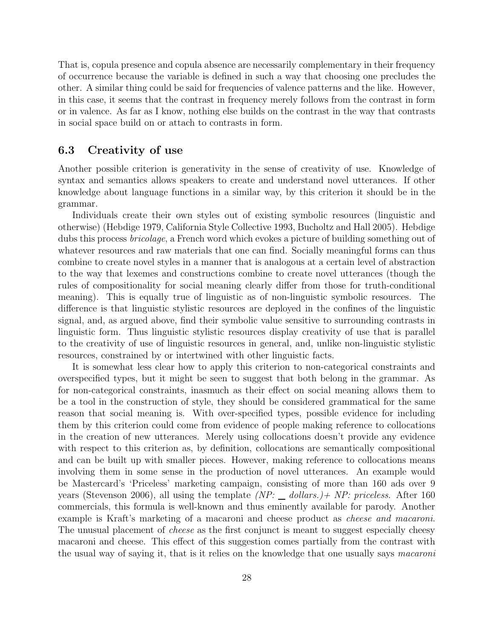That is, copula presence and copula absence are necessarily complementary in their frequency of occurrence because the variable is defined in such a way that choosing one precludes the other. A similar thing could be said for frequencies of valence patterns and the like. However, in this case, it seems that the contrast in frequency merely follows from the contrast in form or in valence. As far as I know, nothing else builds on the contrast in the way that contrasts in social space build on or attach to contrasts in form.

#### 6.3 Creativity of use

Another possible criterion is generativity in the sense of creativity of use. Knowledge of syntax and semantics allows speakers to create and understand novel utterances. If other knowledge about language functions in a similar way, by this criterion it should be in the grammar.

Individuals create their own styles out of existing symbolic resources (linguistic and otherwise) (Hebdige 1979, California Style Collective 1993, Bucholtz and Hall 2005). Hebdige dubs this process *bricolage*, a French word which evokes a picture of building something out of whatever resources and raw materials that one can find. Socially meaningful forms can thus combine to create novel styles in a manner that is analogous at a certain level of abstraction to the way that lexemes and constructions combine to create novel utterances (though the rules of compositionality for social meaning clearly differ from those for truth-conditional meaning). This is equally true of linguistic as of non-linguistic symbolic resources. The difference is that linguistic stylistic resources are deployed in the confines of the linguistic signal, and, as argued above, find their symbolic value sensitive to surrounding contrasts in linguistic form. Thus linguistic stylistic resources display creativity of use that is parallel to the creativity of use of linguistic resources in general, and, unlike non-linguistic stylistic resources, constrained by or intertwined with other linguistic facts.

It is somewhat less clear how to apply this criterion to non-categorical constraints and overspecified types, but it might be seen to suggest that both belong in the grammar. As for non-categorical constraints, inasmuch as their effect on social meaning allows them to be a tool in the construction of style, they should be considered grammatical for the same reason that social meaning is. With over-specified types, possible evidence for including them by this criterion could come from evidence of people making reference to collocations in the creation of new utterances. Merely using collocations doesn't provide any evidence with respect to this criterion as, by definition, collocations are semantically compositional and can be built up with smaller pieces. However, making reference to collocations means involving them in some sense in the production of novel utterances. An example would be Mastercard's 'Priceless' marketing campaign, consisting of more than 160 ads over 9 years (Stevenson 2006), all using the template  $(NP: \_\ dollars.) + NP: \text{priceless. After } 160$ commercials, this formula is well-known and thus eminently available for parody. Another example is Kraft's marketing of a macaroni and cheese product as cheese and macaroni. The unusual placement of *cheese* as the first conjunct is meant to suggest especially cheesy macaroni and cheese. This effect of this suggestion comes partially from the contrast with the usual way of saying it, that is it relies on the knowledge that one usually says macaroni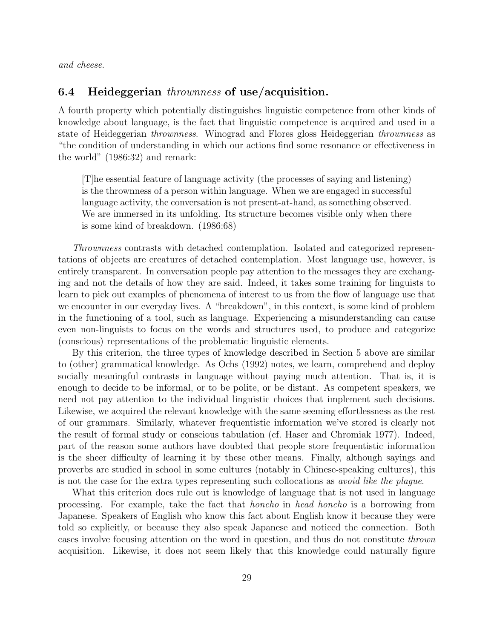and cheese.

#### 6.4 Heideggerian thrownness of use/acquisition.

A fourth property which potentially distinguishes linguistic competence from other kinds of knowledge about language, is the fact that linguistic competence is acquired and used in a state of Heideggerian thrownness. Winograd and Flores gloss Heideggerian thrownness as "the condition of understanding in which our actions find some resonance or effectiveness in the world" (1986:32) and remark:

[T]he essential feature of language activity (the processes of saying and listening) is the thrownness of a person within language. When we are engaged in successful language activity, the conversation is not present-at-hand, as something observed. We are immersed in its unfolding. Its structure becomes visible only when there is some kind of breakdown. (1986:68)

Thrownness contrasts with detached contemplation. Isolated and categorized representations of objects are creatures of detached contemplation. Most language use, however, is entirely transparent. In conversation people pay attention to the messages they are exchanging and not the details of how they are said. Indeed, it takes some training for linguists to learn to pick out examples of phenomena of interest to us from the flow of language use that we encounter in our everyday lives. A "breakdown", in this context, is some kind of problem in the functioning of a tool, such as language. Experiencing a misunderstanding can cause even non-linguists to focus on the words and structures used, to produce and categorize (conscious) representations of the problematic linguistic elements.

By this criterion, the three types of knowledge described in Section 5 above are similar to (other) grammatical knowledge. As Ochs (1992) notes, we learn, comprehend and deploy socially meaningful contrasts in language without paying much attention. That is, it is enough to decide to be informal, or to be polite, or be distant. As competent speakers, we need not pay attention to the individual linguistic choices that implement such decisions. Likewise, we acquired the relevant knowledge with the same seeming effortlessness as the rest of our grammars. Similarly, whatever frequentistic information we've stored is clearly not the result of formal study or conscious tabulation (cf. Haser and Chromiak 1977). Indeed, part of the reason some authors have doubted that people store frequentistic information is the sheer difficulty of learning it by these other means. Finally, although sayings and proverbs are studied in school in some cultures (notably in Chinese-speaking cultures), this is not the case for the extra types representing such collocations as avoid like the plague.

What this criterion does rule out is knowledge of language that is not used in language processing. For example, take the fact that honcho in head honcho is a borrowing from Japanese. Speakers of English who know this fact about English know it because they were told so explicitly, or because they also speak Japanese and noticed the connection. Both cases involve focusing attention on the word in question, and thus do not constitute thrown acquisition. Likewise, it does not seem likely that this knowledge could naturally figure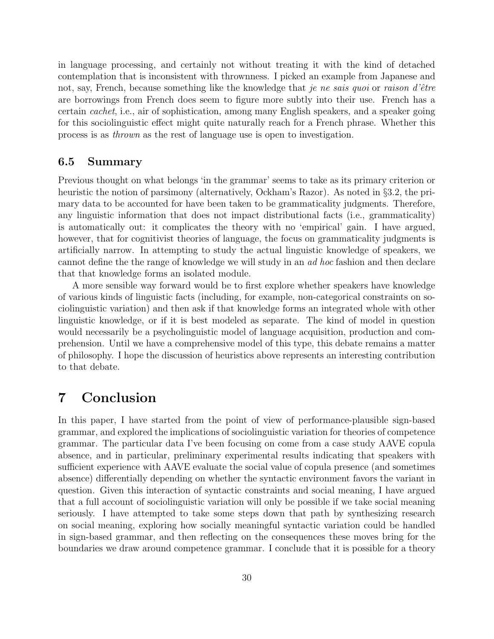in language processing, and certainly not without treating it with the kind of detached contemplation that is inconsistent with thrownness. I picked an example from Japanese and not, say, French, because something like the knowledge that je ne sais quoi or raison d'être are borrowings from French does seem to figure more subtly into their use. French has a certain cachet, i.e., air of sophistication, among many English speakers, and a speaker going for this sociolinguistic effect might quite naturally reach for a French phrase. Whether this process is as thrown as the rest of language use is open to investigation.

#### 6.5 Summary

Previous thought on what belongs 'in the grammar' seems to take as its primary criterion or heuristic the notion of parsimony (alternatively, Ockham's Razor). As noted in §3.2, the primary data to be accounted for have been taken to be grammaticality judgments. Therefore, any linguistic information that does not impact distributional facts (i.e., grammaticality) is automatically out: it complicates the theory with no 'empirical' gain. I have argued, however, that for cognitivist theories of language, the focus on grammaticality judgments is artificially narrow. In attempting to study the actual linguistic knowledge of speakers, we cannot define the the range of knowledge we will study in an ad hoc fashion and then declare that that knowledge forms an isolated module.

A more sensible way forward would be to first explore whether speakers have knowledge of various kinds of linguistic facts (including, for example, non-categorical constraints on sociolinguistic variation) and then ask if that knowledge forms an integrated whole with other linguistic knowledge, or if it is best modeled as separate. The kind of model in question would necessarily be a psycholinguistic model of language acquisition, production and comprehension. Until we have a comprehensive model of this type, this debate remains a matter of philosophy. I hope the discussion of heuristics above represents an interesting contribution to that debate.

## 7 Conclusion

In this paper, I have started from the point of view of performance-plausible sign-based grammar, and explored the implications of sociolinguistic variation for theories of competence grammar. The particular data I've been focusing on come from a case study AAVE copula absence, and in particular, preliminary experimental results indicating that speakers with sufficient experience with AAVE evaluate the social value of copula presence (and sometimes absence) differentially depending on whether the syntactic environment favors the variant in question. Given this interaction of syntactic constraints and social meaning, I have argued that a full account of sociolinguistic variation will only be possible if we take social meaning seriously. I have attempted to take some steps down that path by synthesizing research on social meaning, exploring how socially meaningful syntactic variation could be handled in sign-based grammar, and then reflecting on the consequences these moves bring for the boundaries we draw around competence grammar. I conclude that it is possible for a theory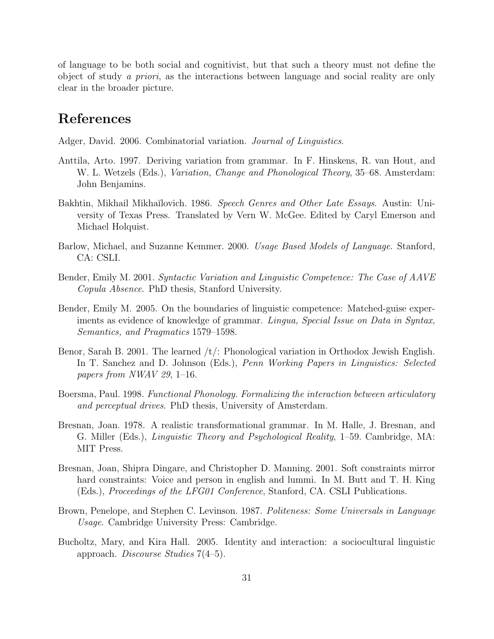of language to be both social and cognitivist, but that such a theory must not define the object of study a priori, as the interactions between language and social reality are only clear in the broader picture.

### References

Adger, David. 2006. Combinatorial variation. Journal of Linguistics.

- Anttila, Arto. 1997. Deriving variation from grammar. In F. Hinskens, R. van Hout, and W. L. Wetzels (Eds.), *Variation, Change and Phonological Theory*, 35–68. Amsterdam: John Benjamins.
- Bakhtin, Mikhail Mikhaĭlovich. 1986. Speech Genres and Other Late Essays. Austin: University of Texas Press. Translated by Vern W. McGee. Edited by Caryl Emerson and Michael Holquist.
- Barlow, Michael, and Suzanne Kemmer. 2000. Usage Based Models of Language. Stanford, CA: CSLI.
- Bender, Emily M. 2001. Syntactic Variation and Linguistic Competence: The Case of AAVE Copula Absence. PhD thesis, Stanford University.
- Bender, Emily M. 2005. On the boundaries of linguistic competence: Matched-guise experiments as evidence of knowledge of grammar. Lingua, Special Issue on Data in Syntax, Semantics, and Pragmatics 1579–1598.
- Benor, Sarah B. 2001. The learned  $/t$ : Phonological variation in Orthodox Jewish English. In T. Sanchez and D. Johnson (Eds.), Penn Working Papers in Linguistics: Selected papers from NWAV 29, 1–16.
- Boersma, Paul. 1998. Functional Phonology. Formalizing the interaction between articulatory and perceptual drives. PhD thesis, University of Amsterdam.
- Bresnan, Joan. 1978. A realistic transformational grammar. In M. Halle, J. Bresnan, and G. Miller (Eds.), Linguistic Theory and Psychological Reality, 1–59. Cambridge, MA: MIT Press.
- Bresnan, Joan, Shipra Dingare, and Christopher D. Manning. 2001. Soft constraints mirror hard constraints: Voice and person in english and lummi. In M. Butt and T. H. King (Eds.), Proceedings of the LFG01 Conference, Stanford, CA. CSLI Publications.
- Brown, Penelope, and Stephen C. Levinson. 1987. Politeness: Some Universals in Language Usage. Cambridge University Press: Cambridge.
- Bucholtz, Mary, and Kira Hall. 2005. Identity and interaction: a sociocultural linguistic approach. Discourse Studies 7(4–5).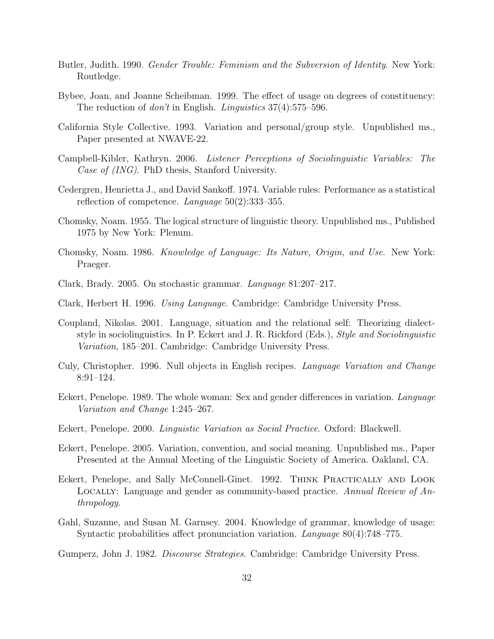- Butler, Judith. 1990. *Gender Trouble: Feminism and the Subversion of Identity*. New York: Routledge.
- Bybee, Joan, and Joanne Scheibman. 1999. The effect of usage on degrees of constituency: The reduction of *don't* in English. *Linguistics* 37(4):575–596.
- California Style Collective. 1993. Variation and personal/group style. Unpublished ms., Paper presented at NWAVE-22.
- Campbell-Kibler, Kathryn. 2006. Listener Perceptions of Sociolinguistic Variables: The Case of (ING). PhD thesis, Stanford University.
- Cedergren, Henrietta J., and David Sankoff. 1974. Variable rules: Performance as a statistical reflection of competence. Language  $50(2):333-355$ .
- Chomsky, Noam. 1955. The logical structure of linguistic theory. Unpublished ms., Published 1975 by New York: Plenum.
- Chomsky, Noam. 1986. Knowledge of Language: Its Nature, Origin, and Use. New York: Praeger.
- Clark, Brady. 2005. On stochastic grammar. Language 81:207–217.
- Clark, Herbert H. 1996. Using Language. Cambridge: Cambridge University Press.
- Coupland, Nikolas. 2001. Language, situation and the relational self: Theorizing dialectstyle in sociolinguistics. In P. Eckert and J. R. Rickford (Eds.), Style and Sociolinguistic Variation, 185–201. Cambridge: Cambridge University Press.
- Culy, Christopher. 1996. Null objects in English recipes. Language Variation and Change 8:91–124.
- Eckert, Penelope. 1989. The whole woman: Sex and gender differences in variation. Language Variation and Change 1:245–267.
- Eckert, Penelope. 2000. Linguistic Variation as Social Practice. Oxford: Blackwell.
- Eckert, Penelope. 2005. Variation, convention, and social meaning. Unpublished ms., Paper Presented at the Annual Meeting of the Linguistic Society of America. Oakland, CA.
- Eckert, Penelope, and Sally McConnell-Ginet. 1992. Think Practically and Look LOCALLY: Language and gender as community-based practice. Annual Review of Anthropology.
- Gahl, Suzanne, and Susan M. Garnsey. 2004. Knowledge of grammar, knowledge of usage: Syntactic probabilities affect pronunciation variation. Language 80(4):748–775.
- Gumperz, John J. 1982. Discourse Strategies. Cambridge: Cambridge University Press.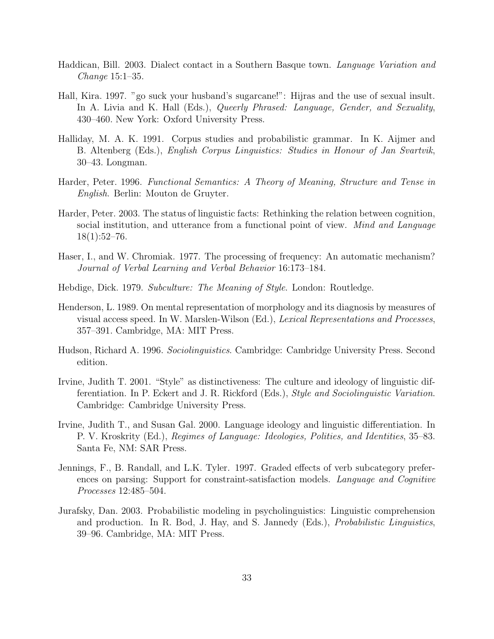- Haddican, Bill. 2003. Dialect contact in a Southern Basque town. Language Variation and Change 15:1–35.
- Hall, Kira. 1997. "go suck your husband's sugarcane!": Hijras and the use of sexual insult. In A. Livia and K. Hall (Eds.), Queerly Phrased: Language, Gender, and Sexuality, 430–460. New York: Oxford University Press.
- Halliday, M. A. K. 1991. Corpus studies and probabilistic grammar. In K. Aijmer and B. Altenberg (Eds.), English Corpus Linguistics: Studies in Honour of Jan Svartvik, 30–43. Longman.
- Harder, Peter. 1996. Functional Semantics: A Theory of Meaning, Structure and Tense in English. Berlin: Mouton de Gruyter.
- Harder, Peter. 2003. The status of linguistic facts: Rethinking the relation between cognition, social institution, and utterance from a functional point of view. Mind and Language  $18(1):52-76.$
- Haser, I., and W. Chromiak. 1977. The processing of frequency: An automatic mechanism? Journal of Verbal Learning and Verbal Behavior 16:173–184.
- Hebdige, Dick. 1979. Subculture: The Meaning of Style. London: Routledge.
- Henderson, L. 1989. On mental representation of morphology and its diagnosis by measures of visual access speed. In W. Marslen-Wilson (Ed.), Lexical Representations and Processes, 357–391. Cambridge, MA: MIT Press.
- Hudson, Richard A. 1996. Sociolinguistics. Cambridge: Cambridge University Press. Second edition.
- Irvine, Judith T. 2001. "Style" as distinctiveness: The culture and ideology of linguistic differentiation. In P. Eckert and J. R. Rickford (Eds.), Style and Sociolinguistic Variation. Cambridge: Cambridge University Press.
- Irvine, Judith T., and Susan Gal. 2000. Language ideology and linguistic differentiation. In P. V. Kroskrity (Ed.), Regimes of Language: Ideologies, Polities, and Identities, 35–83. Santa Fe, NM: SAR Press.
- Jennings, F., B. Randall, and L.K. Tyler. 1997. Graded effects of verb subcategory preferences on parsing: Support for constraint-satisfaction models. Language and Cognitive Processes 12:485–504.
- Jurafsky, Dan. 2003. Probabilistic modeling in psycholinguistics: Linguistic comprehension and production. In R. Bod, J. Hay, and S. Jannedy (Eds.), Probabilistic Linguistics, 39–96. Cambridge, MA: MIT Press.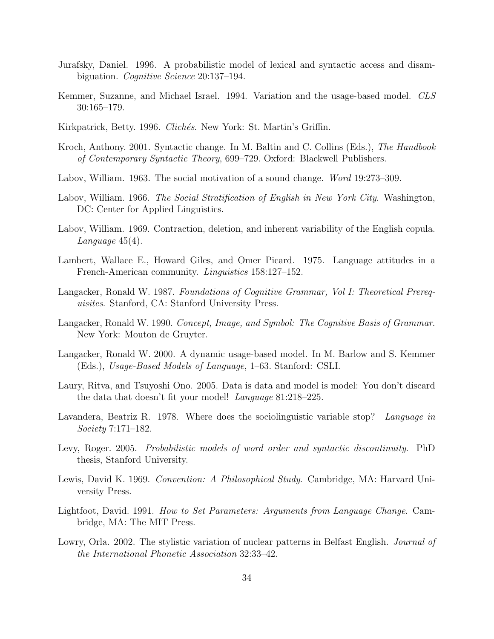- Jurafsky, Daniel. 1996. A probabilistic model of lexical and syntactic access and disambiguation. Cognitive Science 20:137–194.
- Kemmer, Suzanne, and Michael Israel. 1994. Variation and the usage-based model. CLS 30:165–179.
- Kirkpatrick, Betty. 1996. Clichés. New York: St. Martin's Griffin.
- Kroch, Anthony. 2001. Syntactic change. In M. Baltin and C. Collins (Eds.), The Handbook of Contemporary Syntactic Theory, 699–729. Oxford: Blackwell Publishers.
- Labov, William. 1963. The social motivation of a sound change. Word 19:273–309.
- Labov, William. 1966. The Social Stratification of English in New York City. Washington, DC: Center for Applied Linguistics.
- Labov, William. 1969. Contraction, deletion, and inherent variability of the English copula. Language 45(4).
- Lambert, Wallace E., Howard Giles, and Omer Picard. 1975. Language attitudes in a French-American community. Linguistics 158:127–152.
- Langacker, Ronald W. 1987. Foundations of Cognitive Grammar, Vol I: Theoretical Prerequisites. Stanford, CA: Stanford University Press.
- Langacker, Ronald W. 1990. Concept, Image, and Symbol: The Cognitive Basis of Grammar. New York: Mouton de Gruyter.
- Langacker, Ronald W. 2000. A dynamic usage-based model. In M. Barlow and S. Kemmer (Eds.), Usage-Based Models of Language, 1–63. Stanford: CSLI.
- Laury, Ritva, and Tsuyoshi Ono. 2005. Data is data and model is model: You don't discard the data that doesn't fit your model! Language 81:218–225.
- Lavandera, Beatriz R. 1978. Where does the sociolinguistic variable stop? Language in Society 7:171–182.
- Levy, Roger. 2005. Probabilistic models of word order and syntactic discontinuity. PhD thesis, Stanford University.
- Lewis, David K. 1969. Convention: A Philosophical Study. Cambridge, MA: Harvard University Press.
- Lightfoot, David. 1991. How to Set Parameters: Arguments from Language Change. Cambridge, MA: The MIT Press.
- Lowry, Orla. 2002. The stylistic variation of nuclear patterns in Belfast English. *Journal of* the International Phonetic Association 32:33–42.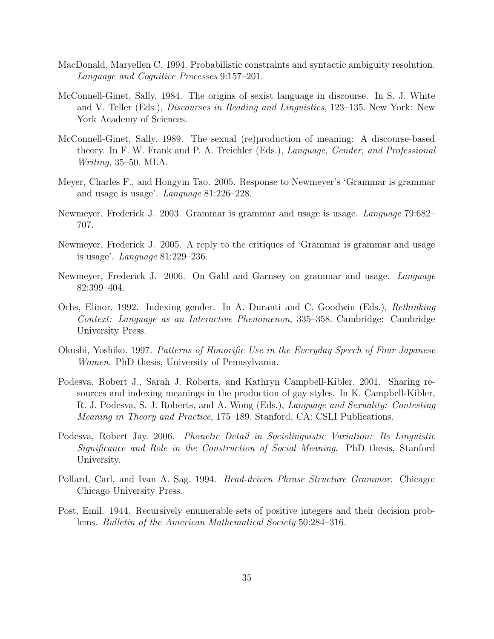- MacDonald, Maryellen C. 1994. Probabilistic constraints and syntactic ambiguity resolution. Language and Cognitive Processes 9:157–201.
- McConnell-Ginet, Sally. 1984. The origins of sexist language in discourse. In S. J. White and V. Teller (Eds.), Discourses in Reading and Linguistics, 123–135. New York: New York Academy of Sciences.
- McConnell-Ginet, Sally. 1989. The sexual (re)production of meaning: A discourse-based theory. In F. W. Frank and P. A. Treichler (Eds.), Language, Gender, and Professional Writing, 35–50. MLA.
- Meyer, Charles F., and Hongyin Tao. 2005. Response to Newmeyer's 'Grammar is grammar and usage is usage'. Language 81:226–228.
- Newmeyer, Frederick J. 2003. Grammar is grammar and usage is usage. Language 79:682– 707.
- Newmeyer, Frederick J. 2005. A reply to the critiques of 'Grammar is grammar and usage is usage'. Language 81:229–236.
- Newmeyer, Frederick J. 2006. On Gahl and Garnsey on grammar and usage. Language 82:399–404.
- Ochs, Elinor. 1992. Indexing gender. In A. Duranti and C. Goodwin (Eds.), Rethinking Context: Language as an Interactive Phenomenon, 335–358. Cambridge: Cambridge University Press.
- Okushi, Yoshiko. 1997. Patterns of Honorific Use in the Everyday Speech of Four Japanese Women. PhD thesis, University of Pennsylvania.
- Podesva, Robert J., Sarah J. Roberts, and Kathryn Campbell-Kibler. 2001. Sharing resources and indexing meanings in the production of gay styles. In K. Campbell-Kibler, R. J. Podesva, S. J. Roberts, and A. Wong (Eds.), Language and Sexuality: Contesting Meaning in Theory and Practice, 175–189. Stanford, CA: CSLI Publications.
- Podesva, Robert Jay. 2006. Phonetic Detail in Sociolinguistic Variation: Its Linguistic Significance and Role in the Construction of Social Meaning. PhD thesis, Stanford University.
- Pollard, Carl, and Ivan A. Sag. 1994. Head-driven Phrase Structure Grammar. Chicago: Chicago University Press.
- Post, Emil. 1944. Recursively enumerable sets of positive integers and their decision problems. Bulletin of the American Mathematical Society 50:284–316.